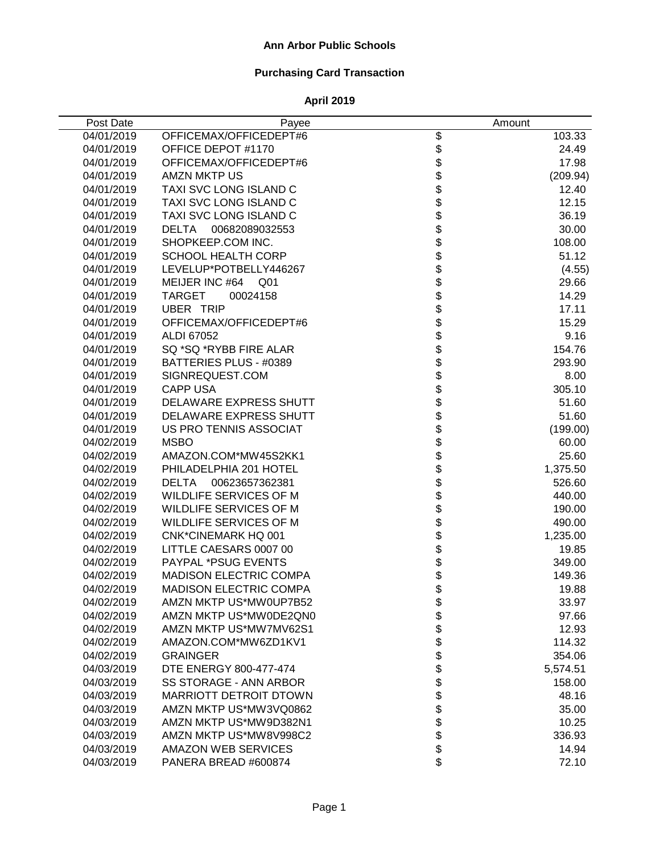# **Purchasing Card Transaction**

| Post Date  | Payee                          |                                                                          | Amount   |
|------------|--------------------------------|--------------------------------------------------------------------------|----------|
| 04/01/2019 | OFFICEMAX/OFFICEDEPT#6         | \$                                                                       | 103.33   |
| 04/01/2019 | OFFICE DEPOT #1170             |                                                                          | 24.49    |
| 04/01/2019 | OFFICEMAX/OFFICEDEPT#6         |                                                                          | 17.98    |
| 04/01/2019 | <b>AMZN MKTP US</b>            |                                                                          | (209.94) |
| 04/01/2019 | TAXI SVC LONG ISLAND C         |                                                                          | 12.40    |
| 04/01/2019 | TAXI SVC LONG ISLAND C         |                                                                          | 12.15    |
| 04/01/2019 | TAXI SVC LONG ISLAND C         |                                                                          | 36.19    |
| 04/01/2019 | <b>DELTA</b><br>00682089032553 |                                                                          | 30.00    |
| 04/01/2019 | SHOPKEEP.COM INC.              |                                                                          | 108.00   |
| 04/01/2019 | <b>SCHOOL HEALTH CORP</b>      |                                                                          | 51.12    |
| 04/01/2019 | LEVELUP*POTBELLY446267         |                                                                          | (4.55)   |
| 04/01/2019 | MEIJER INC #64<br>Q01          |                                                                          | 29.66    |
| 04/01/2019 | <b>TARGET</b><br>00024158      |                                                                          | 14.29    |
| 04/01/2019 | <b>UBER TRIP</b>               |                                                                          | 17.11    |
| 04/01/2019 | OFFICEMAX/OFFICEDEPT#6         |                                                                          | 15.29    |
| 04/01/2019 | ALDI 67052                     |                                                                          | 9.16     |
| 04/01/2019 | SQ *SQ *RYBB FIRE ALAR         |                                                                          | 154.76   |
| 04/01/2019 | BATTERIES PLUS - #0389         |                                                                          | 293.90   |
| 04/01/2019 | SIGNREQUEST.COM                |                                                                          | 8.00     |
| 04/01/2019 | <b>CAPP USA</b>                |                                                                          | 305.10   |
| 04/01/2019 | <b>DELAWARE EXPRESS SHUTT</b>  |                                                                          | 51.60    |
| 04/01/2019 | DELAWARE EXPRESS SHUTT         |                                                                          | 51.60    |
| 04/01/2019 | US PRO TENNIS ASSOCIAT         |                                                                          | (199.00) |
| 04/02/2019 | <b>MSBO</b>                    |                                                                          | 60.00    |
| 04/02/2019 | AMAZON.COM*MW45S2KK1           | \$\$\$\$\$\$\$\$\$\$\$\$\$\$\$\$\$\$\$\$\$\$\$\$\$\$\$\$\$\$\$\$\$\$\$\$ | 25.60    |
| 04/02/2019 | PHILADELPHIA 201 HOTEL         |                                                                          | 1,375.50 |
| 04/02/2019 | <b>DELTA</b><br>00623657362381 |                                                                          | 526.60   |
| 04/02/2019 | WILDLIFE SERVICES OF M         |                                                                          | 440.00   |
| 04/02/2019 | WILDLIFE SERVICES OF M         |                                                                          | 190.00   |
| 04/02/2019 | WILDLIFE SERVICES OF M         |                                                                          | 490.00   |
| 04/02/2019 | <b>CNK*CINEMARK HQ 001</b>     |                                                                          | 1,235.00 |
| 04/02/2019 | LITTLE CAESARS 0007 00         |                                                                          | 19.85    |
| 04/02/2019 | PAYPAL *PSUG EVENTS            |                                                                          | 349.00   |
| 04/02/2019 | MADISON ELECTRIC COMPA         | \$<br>\$                                                                 | 149.36   |
| 04/02/2019 | <b>MADISON ELECTRIC COMPA</b>  |                                                                          | 19.88    |
| 04/02/2019 | AMZN MKTP US*MW0UP7B52         |                                                                          | 33.97    |
| 04/02/2019 | AMZN MKTP US*MW0DE2QN0         |                                                                          | 97.66    |
| 04/02/2019 | AMZN MKTP US*MW7MV62S1         |                                                                          | 12.93    |
| 04/02/2019 | AMAZON.COM*MW6ZD1KV1           |                                                                          | 114.32   |
| 04/02/2019 | <b>GRAINGER</b>                |                                                                          | 354.06   |
| 04/03/2019 | <b>DTE ENERGY 800-477-474</b>  |                                                                          | 5,574.51 |
| 04/03/2019 | <b>SS STORAGE - ANN ARBOR</b>  |                                                                          | 158.00   |
| 04/03/2019 | <b>MARRIOTT DETROIT DTOWN</b>  |                                                                          | 48.16    |
| 04/03/2019 | AMZN MKTP US*MW3VQ0862         |                                                                          | 35.00    |
| 04/03/2019 | AMZN MKTP US*MW9D382N1         | \$\$\$\$\$\$\$\$\$\$\$\$\$\$                                             | 10.25    |
| 04/03/2019 | AMZN MKTP US*MW8V998C2         |                                                                          | 336.93   |
| 04/03/2019 | <b>AMAZON WEB SERVICES</b>     |                                                                          | 14.94    |
| 04/03/2019 | PANERA BREAD #600874           | \$                                                                       | 72.10    |
|            |                                |                                                                          |          |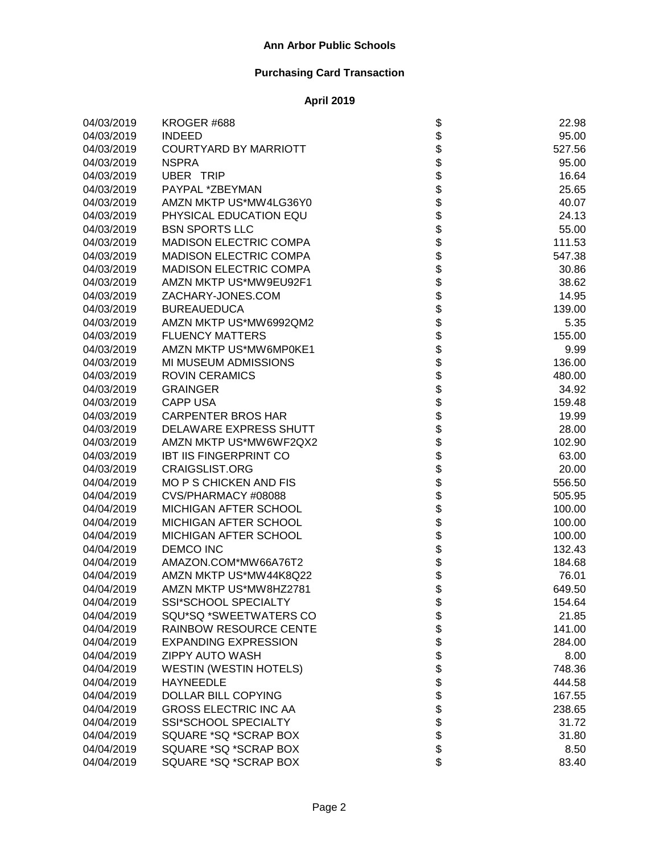| 04/03/2019 | KROGER #688                   | \$                                                                         | 22.98  |
|------------|-------------------------------|----------------------------------------------------------------------------|--------|
| 04/03/2019 | <b>INDEED</b>                 |                                                                            | 95.00  |
| 04/03/2019 | <b>COURTYARD BY MARRIOTT</b>  |                                                                            | 527.56 |
| 04/03/2019 | <b>NSPRA</b>                  |                                                                            | 95.00  |
| 04/03/2019 | UBER TRIP                     |                                                                            | 16.64  |
| 04/03/2019 | PAYPAL *ZBEYMAN               |                                                                            | 25.65  |
| 04/03/2019 | AMZN MKTP US*MW4LG36Y0        |                                                                            | 40.07  |
| 04/03/2019 | PHYSICAL EDUCATION EQU        |                                                                            | 24.13  |
| 04/03/2019 | <b>BSN SPORTS LLC</b>         |                                                                            | 55.00  |
| 04/03/2019 | <b>MADISON ELECTRIC COMPA</b> |                                                                            | 111.53 |
| 04/03/2019 | <b>MADISON ELECTRIC COMPA</b> |                                                                            | 547.38 |
| 04/03/2019 | <b>MADISON ELECTRIC COMPA</b> |                                                                            | 30.86  |
| 04/03/2019 | AMZN MKTP US*MW9EU92F1        |                                                                            | 38.62  |
| 04/03/2019 | ZACHARY-JONES.COM             |                                                                            | 14.95  |
| 04/03/2019 | <b>BUREAUEDUCA</b>            |                                                                            | 139.00 |
| 04/03/2019 | AMZN MKTP US*MW6992QM2        |                                                                            | 5.35   |
| 04/03/2019 | <b>FLUENCY MATTERS</b>        |                                                                            | 155.00 |
| 04/03/2019 | AMZN MKTP US*MW6MP0KE1        |                                                                            | 9.99   |
| 04/03/2019 | MI MUSEUM ADMISSIONS          |                                                                            | 136.00 |
| 04/03/2019 | <b>ROVIN CERAMICS</b>         |                                                                            | 480.00 |
| 04/03/2019 | <b>GRAINGER</b>               |                                                                            | 34.92  |
| 04/03/2019 | <b>CAPP USA</b>               | \$\$\$\$\$\$\$\$\$\$\$\$\$\$\$\$\$\$\$\$\$\$\$\$\$\$\$\$\$\$\$\$\$\$\$\$\$ | 159.48 |
| 04/03/2019 | <b>CARPENTER BROS HAR</b>     |                                                                            | 19.99  |
| 04/03/2019 | DELAWARE EXPRESS SHUTT        |                                                                            | 28.00  |
| 04/03/2019 | AMZN MKTP US*MW6WF2QX2        |                                                                            | 102.90 |
| 04/03/2019 | <b>IBT IIS FINGERPRINT CO</b> |                                                                            | 63.00  |
| 04/03/2019 | <b>CRAIGSLIST.ORG</b>         |                                                                            | 20.00  |
| 04/04/2019 | <b>MO P S CHICKEN AND FIS</b> |                                                                            | 556.50 |
| 04/04/2019 | CVS/PHARMACY #08088           |                                                                            | 505.95 |
| 04/04/2019 | MICHIGAN AFTER SCHOOL         |                                                                            | 100.00 |
| 04/04/2019 | MICHIGAN AFTER SCHOOL         |                                                                            | 100.00 |
| 04/04/2019 | MICHIGAN AFTER SCHOOL         |                                                                            | 100.00 |
| 04/04/2019 | <b>DEMCO INC</b>              | \$\$\$\$                                                                   | 132.43 |
| 04/04/2019 | AMAZON.COM*MW66A76T2          |                                                                            | 184.68 |
| 04/04/2019 | AMZN MKTP US*MW44K8Q22        |                                                                            | 76.01  |
| 04/04/2019 | AMZN MKTP US*MW8HZ2781        |                                                                            | 649.50 |
| 04/04/2019 | SSI*SCHOOL SPECIALTY          | \$                                                                         | 154.64 |
| 04/04/2019 | SQU*SQ *SWEETWATERS CO        |                                                                            | 21.85  |
| 04/04/2019 | <b>RAINBOW RESOURCE CENTE</b> |                                                                            | 141.00 |
| 04/04/2019 | <b>EXPANDING EXPRESSION</b>   |                                                                            | 284.00 |
| 04/04/2019 | <b>ZIPPY AUTO WASH</b>        |                                                                            | 8.00   |
| 04/04/2019 | <b>WESTIN (WESTIN HOTELS)</b> |                                                                            | 748.36 |
| 04/04/2019 | <b>HAYNEEDLE</b>              |                                                                            | 444.58 |
| 04/04/2019 | <b>DOLLAR BILL COPYING</b>    |                                                                            | 167.55 |
| 04/04/2019 | <b>GROSS ELECTRIC INC AA</b>  | <b>88888888888</b>                                                         | 238.65 |
| 04/04/2019 | SSI*SCHOOL SPECIALTY          |                                                                            | 31.72  |
| 04/04/2019 | SQUARE *SQ *SCRAP BOX         |                                                                            | 31.80  |
| 04/04/2019 | SQUARE *SQ *SCRAP BOX         |                                                                            | 8.50   |
| 04/04/2019 | SQUARE *SQ *SCRAP BOX         | \$                                                                         | 83.40  |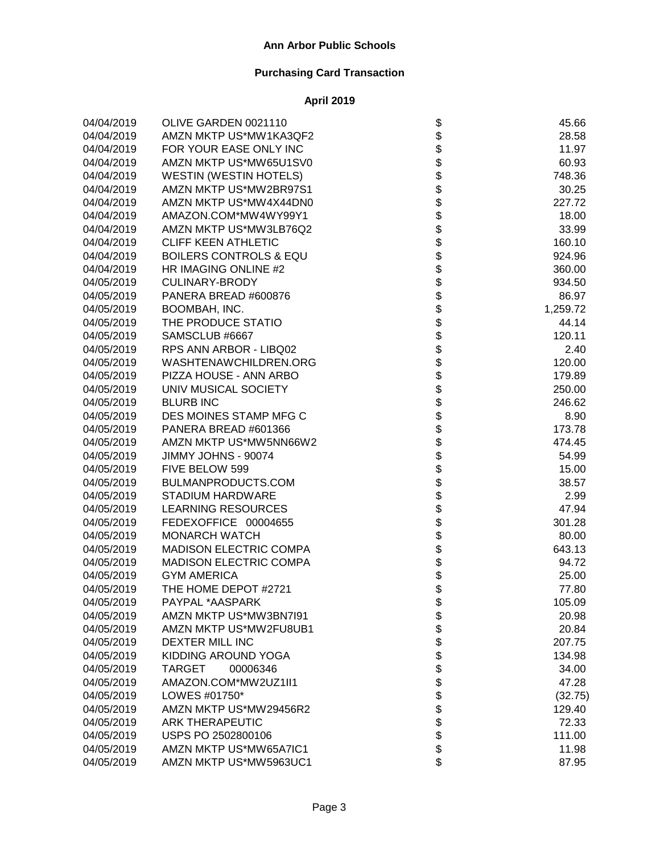| 04/04/2019 | OLIVE GARDEN 0021110              | \$                                                                         | 45.66    |
|------------|-----------------------------------|----------------------------------------------------------------------------|----------|
| 04/04/2019 | AMZN MKTP US*MW1KA3QF2            |                                                                            | 28.58    |
| 04/04/2019 | FOR YOUR EASE ONLY INC            |                                                                            | 11.97    |
| 04/04/2019 | AMZN MKTP US*MW65U1SV0            |                                                                            | 60.93    |
| 04/04/2019 | <b>WESTIN (WESTIN HOTELS)</b>     |                                                                            | 748.36   |
| 04/04/2019 | AMZN MKTP US*MW2BR97S1            |                                                                            | 30.25    |
| 04/04/2019 | AMZN MKTP US*MW4X44DN0            |                                                                            | 227.72   |
| 04/04/2019 | AMAZON.COM*MW4WY99Y1              |                                                                            | 18.00    |
| 04/04/2019 | AMZN MKTP US*MW3LB76Q2            |                                                                            | 33.99    |
| 04/04/2019 | <b>CLIFF KEEN ATHLETIC</b>        |                                                                            | 160.10   |
| 04/04/2019 | <b>BOILERS CONTROLS &amp; EQU</b> |                                                                            | 924.96   |
| 04/04/2019 | HR IMAGING ONLINE #2              |                                                                            | 360.00   |
| 04/05/2019 | <b>CULINARY-BRODY</b>             |                                                                            | 934.50   |
| 04/05/2019 | PANERA BREAD #600876              |                                                                            | 86.97    |
| 04/05/2019 | BOOMBAH, INC.                     |                                                                            | 1,259.72 |
| 04/05/2019 | THE PRODUCE STATIO                |                                                                            | 44.14    |
| 04/05/2019 | SAMSCLUB #6667                    |                                                                            | 120.11   |
| 04/05/2019 | RPS ANN ARBOR - LIBQ02            |                                                                            | 2.40     |
| 04/05/2019 | WASHTENAWCHILDREN.ORG             |                                                                            | 120.00   |
| 04/05/2019 | PIZZA HOUSE - ANN ARBO            |                                                                            | 179.89   |
| 04/05/2019 | UNIV MUSICAL SOCIETY              |                                                                            | 250.00   |
| 04/05/2019 | <b>BLURB INC</b>                  |                                                                            | 246.62   |
| 04/05/2019 | DES MOINES STAMP MFG C            |                                                                            | 8.90     |
| 04/05/2019 | PANERA BREAD #601366              |                                                                            | 173.78   |
| 04/05/2019 | AMZN MKTP US*MW5NN66W2            |                                                                            | 474.45   |
| 04/05/2019 | JIMMY JOHNS - 90074               | \$\$\$\$\$\$\$\$\$\$\$\$\$\$\$\$\$\$\$\$\$\$\$\$\$\$\$\$\$\$\$\$\$\$\$\$\$ | 54.99    |
| 04/05/2019 | FIVE BELOW 599                    |                                                                            | 15.00    |
| 04/05/2019 | BULMANPRODUCTS.COM                |                                                                            | 38.57    |
| 04/05/2019 | <b>STADIUM HARDWARE</b>           |                                                                            | 2.99     |
| 04/05/2019 | <b>LEARNING RESOURCES</b>         |                                                                            | 47.94    |
| 04/05/2019 | FEDEXOFFICE 00004655              |                                                                            | 301.28   |
| 04/05/2019 | <b>MONARCH WATCH</b>              |                                                                            | 80.00    |
| 04/05/2019 | MADISON ELECTRIC COMPA            |                                                                            | 643.13   |
| 04/05/2019 | MADISON ELECTRIC COMPA            |                                                                            | 94.72    |
| 04/05/2019 | <b>GYM AMERICA</b>                | \$                                                                         | 25.00    |
| 04/05/2019 | THE HOME DEPOT #2721              | \$                                                                         | 77.80    |
| 04/05/2019 | PAYPAL *AASPARK                   | \$                                                                         | 105.09   |
| 04/05/2019 | AMZN MKTP US*MW3BN7I91            |                                                                            | 20.98    |
| 04/05/2019 | AMZN MKTP US*MW2FU8UB1            |                                                                            | 20.84    |
| 04/05/2019 | <b>DEXTER MILL INC</b>            |                                                                            | 207.75   |
| 04/05/2019 | KIDDING AROUND YOGA               |                                                                            | 134.98   |
| 04/05/2019 | TARGET<br>00006346                |                                                                            | 34.00    |
| 04/05/2019 | AMAZON.COM*MW2UZ1II1              |                                                                            | 47.28    |
| 04/05/2019 | LOWES #01750*                     |                                                                            | (32.75)  |
| 04/05/2019 | AMZN MKTP US*MW29456R2            |                                                                            | 129.40   |
| 04/05/2019 | <b>ARK THERAPEUTIC</b>            | <b>8888888888</b>                                                          | 72.33    |
| 04/05/2019 | USPS PO 2502800106                |                                                                            | 111.00   |
| 04/05/2019 | AMZN MKTP US*MW65A7IC1            |                                                                            | 11.98    |
| 04/05/2019 | AMZN MKTP US*MW5963UC1            | \$                                                                         | 87.95    |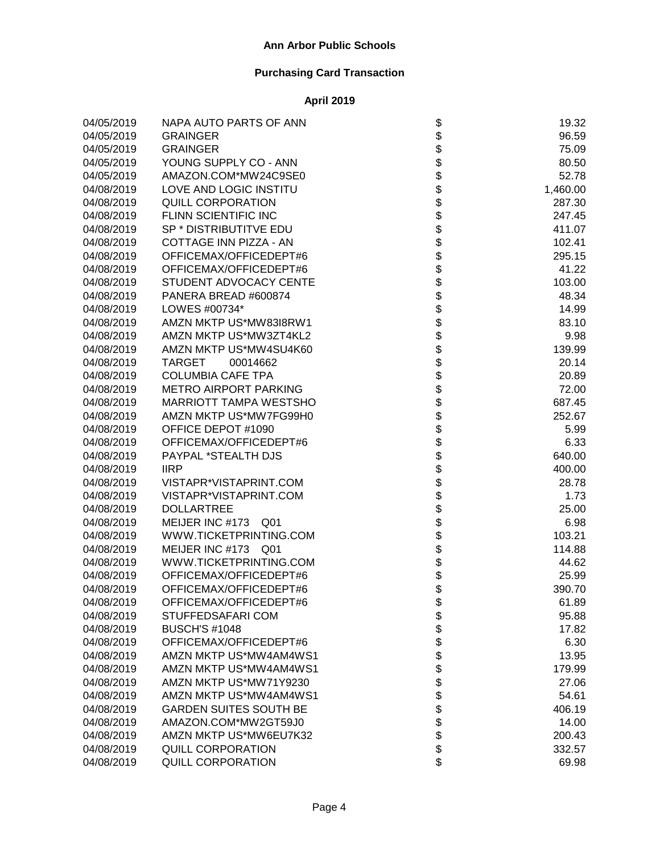| 04/05/2019 | NAPA AUTO PARTS OF ANN        | \$                | 19.32    |
|------------|-------------------------------|-------------------|----------|
| 04/05/2019 | <b>GRAINGER</b>               |                   | 96.59    |
| 04/05/2019 | <b>GRAINGER</b>               |                   | 75.09    |
| 04/05/2019 | YOUNG SUPPLY CO - ANN         |                   | 80.50    |
| 04/05/2019 | AMAZON.COM*MW24C9SE0          |                   | 52.78    |
| 04/08/2019 | LOVE AND LOGIC INSTITU        |                   | 1,460.00 |
| 04/08/2019 | <b>QUILL CORPORATION</b>      |                   | 287.30   |
| 04/08/2019 | FLINN SCIENTIFIC INC          |                   | 247.45   |
| 04/08/2019 | SP * DISTRIBUTITVE EDU        |                   | 411.07   |
| 04/08/2019 | COTTAGE INN PIZZA - AN        |                   | 102.41   |
| 04/08/2019 | OFFICEMAX/OFFICEDEPT#6        |                   | 295.15   |
| 04/08/2019 | OFFICEMAX/OFFICEDEPT#6        |                   | 41.22    |
| 04/08/2019 | STUDENT ADVOCACY CENTE        |                   | 103.00   |
| 04/08/2019 | PANERA BREAD #600874          |                   | 48.34    |
| 04/08/2019 | LOWES #00734*                 |                   | 14.99    |
| 04/08/2019 | AMZN MKTP US*MW83I8RW1        |                   | 83.10    |
| 04/08/2019 | AMZN MKTP US*MW3ZT4KL2        |                   | 9.98     |
| 04/08/2019 | AMZN MKTP US*MW4SU4K60        |                   | 139.99   |
| 04/08/2019 | TARGET<br>00014662            |                   | 20.14    |
| 04/08/2019 | <b>COLUMBIA CAFE TPA</b>      |                   | 20.89    |
| 04/08/2019 | <b>METRO AIRPORT PARKING</b>  |                   | 72.00    |
| 04/08/2019 | <b>MARRIOTT TAMPA WESTSHO</b> |                   | 687.45   |
| 04/08/2019 | AMZN MKTP US*MW7FG99H0        |                   | 252.67   |
| 04/08/2019 | OFFICE DEPOT #1090            |                   | 5.99     |
| 04/08/2019 | OFFICEMAX/OFFICEDEPT#6        |                   | 6.33     |
| 04/08/2019 | PAYPAL *STEALTH DJS           |                   | 640.00   |
| 04/08/2019 | <b>IIRP</b>                   |                   | 400.00   |
| 04/08/2019 | VISTAPR*VISTAPRINT.COM        |                   | 28.78    |
| 04/08/2019 | VISTAPR*VISTAPRINT.COM        |                   | 1.73     |
| 04/08/2019 | <b>DOLLARTREE</b>             |                   | 25.00    |
| 04/08/2019 | MEIJER INC #173 Q01           |                   | 6.98     |
| 04/08/2019 | WWW.TICKETPRINTING.COM        |                   | 103.21   |
| 04/08/2019 | MEIJER INC #173 Q01           |                   | 114.88   |
| 04/08/2019 | WWW.TICKETPRINTING.COM        |                   | 44.62    |
| 04/08/2019 | OFFICEMAX/OFFICEDEPT#6        |                   | 25.99    |
| 04/08/2019 | OFFICEMAX/OFFICEDEPT#6        |                   | 390.70   |
| 04/08/2019 | OFFICEMAX/OFFICEDEPT#6        | \$                | 61.89    |
| 04/08/2019 | STUFFEDSAFARI COM             |                   | 95.88    |
| 04/08/2019 | <b>BUSCH'S #1048</b>          |                   | 17.82    |
| 04/08/2019 | OFFICEMAX/OFFICEDEPT#6        |                   | 6.30     |
| 04/08/2019 | AMZN MKTP US*MW4AM4WS1        |                   | 13.95    |
| 04/08/2019 | AMZN MKTP US*MW4AM4WS1        |                   | 179.99   |
| 04/08/2019 | AMZN MKTP US*MW71Y9230        |                   | 27.06    |
| 04/08/2019 | AMZN MKTP US*MW4AM4WS1        |                   | 54.61    |
| 04/08/2019 | <b>GARDEN SUITES SOUTH BE</b> | <b>8888888888</b> | 406.19   |
| 04/08/2019 | AMAZON.COM*MW2GT59J0          |                   | 14.00    |
| 04/08/2019 | AMZN MKTP US*MW6EU7K32        |                   | 200.43   |
| 04/08/2019 | <b>QUILL CORPORATION</b>      |                   | 332.57   |
| 04/08/2019 | QUILL CORPORATION             | \$                | 69.98    |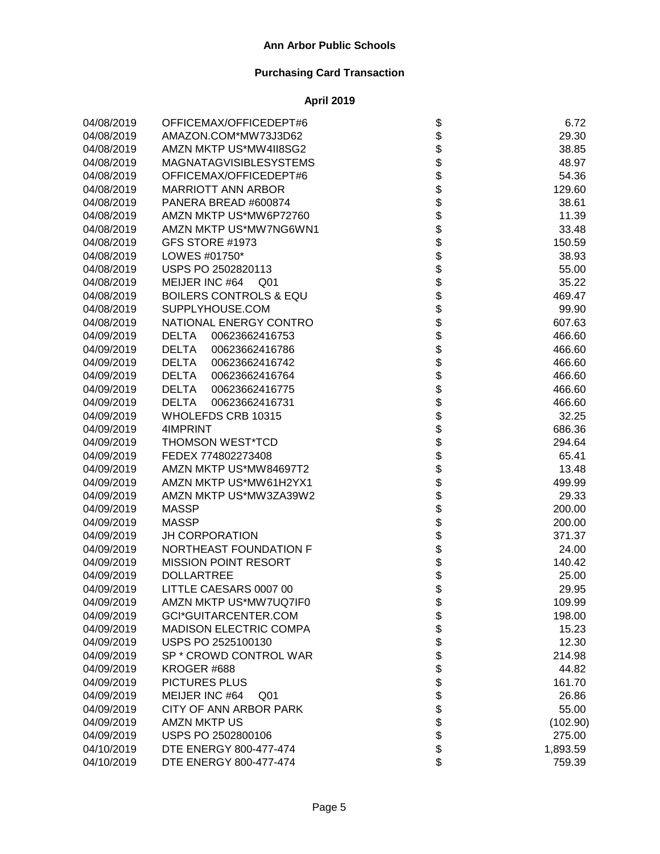| 04/08/2019 | OFFICEMAX/OFFICEDEPT#6            | \$                                                                   | 6.72     |
|------------|-----------------------------------|----------------------------------------------------------------------|----------|
| 04/08/2019 | AMAZON.COM*MW73J3D62              |                                                                      | 29.30    |
| 04/08/2019 | AMZN MKTP US*MW4II8SG2            |                                                                      | 38.85    |
| 04/08/2019 | <b>MAGNATAGVISIBLESYSTEMS</b>     |                                                                      | 48.97    |
| 04/08/2019 | OFFICEMAX/OFFICEDEPT#6            |                                                                      | 54.36    |
| 04/08/2019 | <b>MARRIOTT ANN ARBOR</b>         |                                                                      | 129.60   |
| 04/08/2019 | PANERA BREAD #600874              |                                                                      | 38.61    |
| 04/08/2019 | AMZN MKTP US*MW6P72760            |                                                                      | 11.39    |
| 04/08/2019 | AMZN MKTP US*MW7NG6WN1            |                                                                      | 33.48    |
| 04/08/2019 | GFS STORE #1973                   |                                                                      | 150.59   |
| 04/08/2019 | LOWES #01750*                     |                                                                      | 38.93    |
| 04/08/2019 | USPS PO 2502820113                |                                                                      | 55.00    |
| 04/08/2019 | MEIJER INC #64<br>Q01             |                                                                      | 35.22    |
| 04/08/2019 | <b>BOILERS CONTROLS &amp; EQU</b> |                                                                      | 469.47   |
| 04/08/2019 | SUPPLYHOUSE.COM                   |                                                                      | 99.90    |
| 04/08/2019 | NATIONAL ENERGY CONTRO            |                                                                      | 607.63   |
| 04/09/2019 | <b>DELTA</b><br>00623662416753    |                                                                      | 466.60   |
| 04/09/2019 | <b>DELTA</b><br>00623662416786    |                                                                      | 466.60   |
| 04/09/2019 | <b>DELTA</b><br>00623662416742    |                                                                      | 466.60   |
| 04/09/2019 | <b>DELTA</b><br>00623662416764    |                                                                      | 466.60   |
| 04/09/2019 | <b>DELTA</b><br>00623662416775    |                                                                      | 466.60   |
| 04/09/2019 | 00623662416731<br><b>DELTA</b>    |                                                                      | 466.60   |
| 04/09/2019 | WHOLEFDS CRB 10315                |                                                                      | 32.25    |
| 04/09/2019 | 4IMPRINT                          |                                                                      | 686.36   |
| 04/09/2019 | THOMSON WEST*TCD                  |                                                                      | 294.64   |
| 04/09/2019 | FEDEX 774802273408                | \$\$\$\$\$\$\$\$\$\$\$\$\$\$\$\$\$\$\$\$\$\$\$\$\$\$\$\$\$\$\$\$\$\$ | 65.41    |
| 04/09/2019 | AMZN MKTP US*MW84697T2            |                                                                      | 13.48    |
| 04/09/2019 | AMZN MKTP US*MW61H2YX1            |                                                                      | 499.99   |
| 04/09/2019 | AMZN MKTP US*MW3ZA39W2            |                                                                      | 29.33    |
| 04/09/2019 | <b>MASSP</b>                      |                                                                      | 200.00   |
| 04/09/2019 | <b>MASSP</b>                      | \$                                                                   | 200.00   |
| 04/09/2019 | JH CORPORATION                    | \$\$                                                                 | 371.37   |
| 04/09/2019 | NORTHEAST FOUNDATION F            |                                                                      | 24.00    |
| 04/09/2019 | <b>MISSION POINT RESORT</b>       |                                                                      | 140.42   |
| 04/09/2019 | <b>DOLLARTREE</b>                 | \$                                                                   | 25.00    |
| 04/09/2019 | LITTLE CAESARS 0007 00            |                                                                      | 29.95    |
| 04/09/2019 | AMZN MKTP US*MW7UQ7IF0            | \$                                                                   | 109.99   |
| 04/09/2019 | GCI*GUITARCENTER.COM              |                                                                      | 198.00   |
| 04/09/2019 | <b>MADISON ELECTRIC COMPA</b>     |                                                                      | 15.23    |
| 04/09/2019 | USPS PO 2525100130                |                                                                      | 12.30    |
| 04/09/2019 | SP * CROWD CONTROL WAR            |                                                                      | 214.98   |
| 04/09/2019 | KROGER #688                       |                                                                      | 44.82    |
| 04/09/2019 | PICTURES PLUS                     |                                                                      | 161.70   |
| 04/09/2019 | MEIJER INC #64<br>Q01             |                                                                      | 26.86    |
| 04/09/2019 | CITY OF ANN ARBOR PARK            |                                                                      | 55.00    |
| 04/09/2019 | <b>AMZN MKTP US</b>               | \$\$\$\$\$\$\$\$\$\$\$\$\$\$                                         | (102.90) |
| 04/09/2019 | USPS PO 2502800106                |                                                                      | 275.00   |
| 04/10/2019 | DTE ENERGY 800-477-474            |                                                                      | 1,893.59 |
| 04/10/2019 | DTE ENERGY 800-477-474            |                                                                      | 759.39   |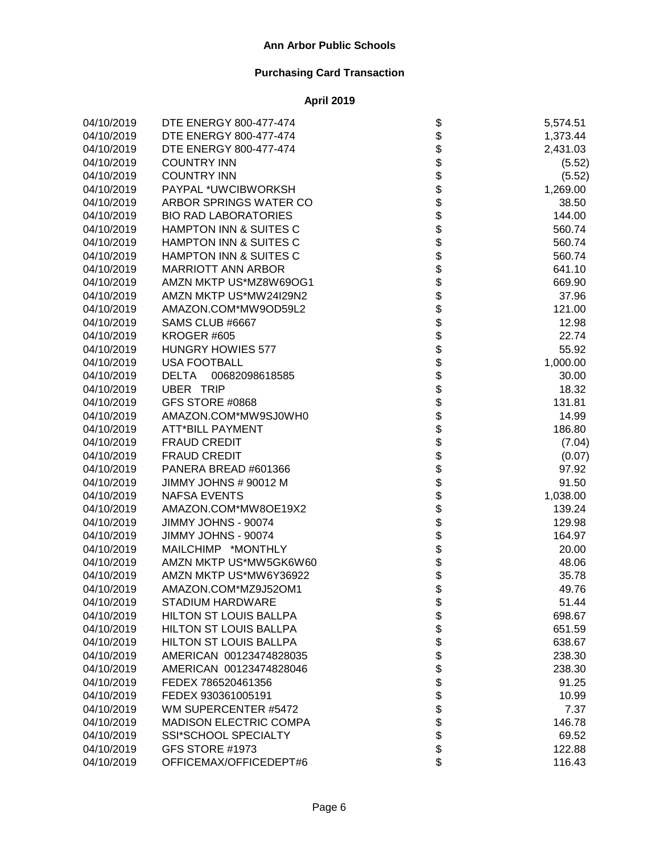| 04/10/2019 | DTE ENERGY 800-477-474            |                                      | 5,574.51 |
|------------|-----------------------------------|--------------------------------------|----------|
| 04/10/2019 | DTE ENERGY 800-477-474            |                                      | 1,373.44 |
| 04/10/2019 | DTE ENERGY 800-477-474            |                                      | 2,431.03 |
| 04/10/2019 | <b>COUNTRY INN</b>                |                                      | (5.52)   |
| 04/10/2019 | <b>COUNTRY INN</b>                |                                      | (5.52)   |
| 04/10/2019 | PAYPAL *UWCIBWORKSH               |                                      | 1,269.00 |
| 04/10/2019 | ARBOR SPRINGS WATER CO            |                                      | 38.50    |
| 04/10/2019 | <b>BIO RAD LABORATORIES</b>       |                                      | 144.00   |
| 04/10/2019 | HAMPTON INN & SUITES C            |                                      | 560.74   |
| 04/10/2019 | HAMPTON INN & SUITES C            |                                      | 560.74   |
| 04/10/2019 | <b>HAMPTON INN &amp; SUITES C</b> |                                      | 560.74   |
| 04/10/2019 | <b>MARRIOTT ANN ARBOR</b>         |                                      | 641.10   |
| 04/10/2019 | AMZN MKTP US*MZ8W69OG1            |                                      | 669.90   |
| 04/10/2019 | AMZN MKTP US*MW24I29N2            |                                      | 37.96    |
| 04/10/2019 | AMAZON.COM*MW9OD59L2              |                                      | 121.00   |
| 04/10/2019 | SAMS CLUB #6667                   |                                      | 12.98    |
| 04/10/2019 | KROGER #605                       |                                      | 22.74    |
| 04/10/2019 | <b>HUNGRY HOWIES 577</b>          |                                      | 55.92    |
| 04/10/2019 | <b>USA FOOTBALL</b>               |                                      | 1,000.00 |
| 04/10/2019 | <b>DELTA</b><br>00682098618585    |                                      | 30.00    |
| 04/10/2019 | <b>UBER TRIP</b>                  |                                      | 18.32    |
| 04/10/2019 | GFS STORE #0868                   |                                      | 131.81   |
| 04/10/2019 | AMAZON.COM*MW9SJ0WH0              |                                      | 14.99    |
| 04/10/2019 | <b>ATT*BILL PAYMENT</b>           |                                      | 186.80   |
| 04/10/2019 | <b>FRAUD CREDIT</b>               |                                      | (7.04)   |
| 04/10/2019 | <b>FRAUD CREDIT</b>               | ֍֎֍֍֍֍֍֍֍֍֍֍֍֍֍֍֍֍֍֍֍֍֍֍֍֍֍֍֍֍֍֍֍֍֍֍ | (0.07)   |
| 04/10/2019 | PANERA BREAD #601366              |                                      | 97.92    |
| 04/10/2019 | JIMMY JOHNS # 90012 M             |                                      | 91.50    |
| 04/10/2019 | <b>NAFSA EVENTS</b>               |                                      | 1,038.00 |
| 04/10/2019 | AMAZON.COM*MW8OE19X2              |                                      | 139.24   |
| 04/10/2019 | JIMMY JOHNS - 90074               |                                      | 129.98   |
| 04/10/2019 | JIMMY JOHNS - 90074               |                                      | 164.97   |
| 04/10/2019 | MAILCHIMP *MONTHLY                |                                      | 20.00    |
| 04/10/2019 | AMZN MKTP US*MW5GK6W60            |                                      | 48.06    |
| 04/10/2019 | AMZN MKTP US*MW6Y36922            |                                      | 35.78    |
| 04/10/2019 | AMAZON.COM*MZ9J52OM1              |                                      | 49.76    |
| 04/10/2019 | STADIUM HARDWARE                  | P                                    | 51.44    |
| 04/10/2019 | <b>HILTON ST LOUIS BALLPA</b>     |                                      | 698.67   |
| 04/10/2019 | HILTON ST LOUIS BALLPA            |                                      | 651.59   |
| 04/10/2019 | <b>HILTON ST LOUIS BALLPA</b>     |                                      | 638.67   |
| 04/10/2019 | AMERICAN 00123474828035           |                                      | 238.30   |
| 04/10/2019 | AMERICAN 00123474828046           |                                      | 238.30   |
| 04/10/2019 | FEDEX 786520461356                |                                      | 91.25    |
| 04/10/2019 | FEDEX 930361005191                |                                      | 10.99    |
| 04/10/2019 | WM SUPERCENTER #5472              |                                      | 7.37     |
| 04/10/2019 | <b>MADISON ELECTRIC COMPA</b>     | <b>8888888888</b>                    | 146.78   |
| 04/10/2019 | <b>SSI*SCHOOL SPECIALTY</b>       |                                      | 69.52    |
| 04/10/2019 | GFS STORE #1973                   |                                      | 122.88   |
| 04/10/2019 | OFFICEMAX/OFFICEDEPT#6            | \$                                   | 116.43   |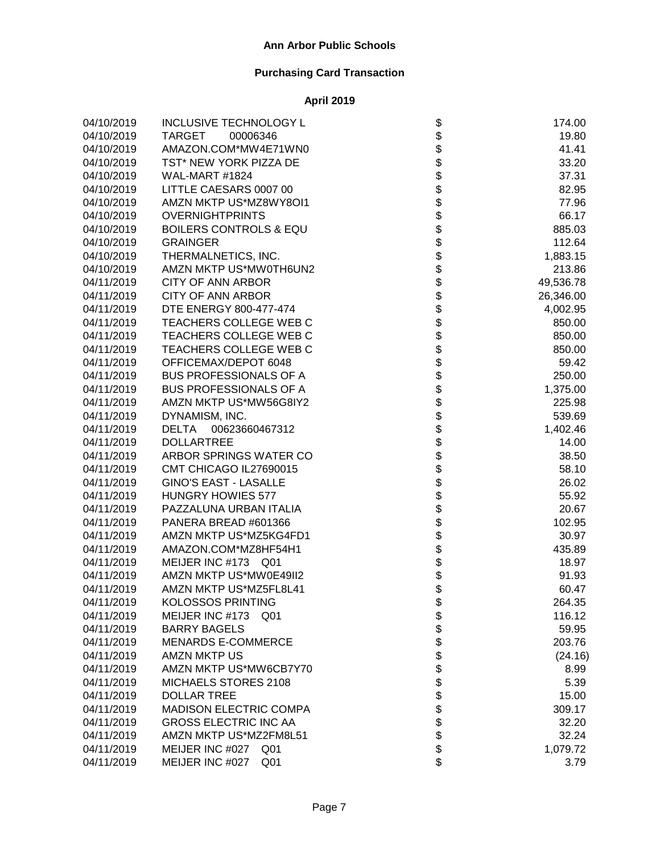| 04/10/2019 | <b>INCLUSIVE TECHNOLOGY L</b>      |                    | 174.00    |
|------------|------------------------------------|--------------------|-----------|
| 04/10/2019 | <b>TARGET</b><br>00006346          |                    | 19.80     |
| 04/10/2019 | AMAZON.COM*MW4E71WN0               |                    | 41.41     |
| 04/10/2019 | TST* NEW YORK PIZZA DE             |                    | 33.20     |
| 04/10/2019 | WAL-MART #1824                     |                    | 37.31     |
| 04/10/2019 | LITTLE CAESARS 0007 00             |                    | 82.95     |
| 04/10/2019 | AMZN MKTP US*MZ8WY8OI1             |                    | 77.96     |
| 04/10/2019 | <b>OVERNIGHTPRINTS</b>             |                    | 66.17     |
| 04/10/2019 | <b>BOILERS CONTROLS &amp; EQU</b>  |                    | 885.03    |
| 04/10/2019 | <b>GRAINGER</b>                    |                    | 112.64    |
| 04/10/2019 | THERMALNETICS, INC.                |                    | 1,883.15  |
| 04/10/2019 | AMZN MKTP US*MW0TH6UN2             |                    | 213.86    |
| 04/11/2019 | CITY OF ANN ARBOR                  |                    | 49,536.78 |
| 04/11/2019 | <b>CITY OF ANN ARBOR</b>           |                    | 26,346.00 |
| 04/11/2019 | DTE ENERGY 800-477-474             |                    | 4,002.95  |
| 04/11/2019 | TEACHERS COLLEGE WEB C             |                    | 850.00    |
| 04/11/2019 | TEACHERS COLLEGE WEB C             |                    | 850.00    |
| 04/11/2019 | TEACHERS COLLEGE WEB C             |                    | 850.00    |
| 04/11/2019 | OFFICEMAX/DEPOT 6048               |                    | 59.42     |
| 04/11/2019 | <b>BUS PROFESSIONALS OF A</b>      |                    | 250.00    |
| 04/11/2019 | <b>BUS PROFESSIONALS OF A</b>      |                    | 1,375.00  |
| 04/11/2019 | AMZN MKTP US*MW56G8IY2             |                    | 225.98    |
| 04/11/2019 | DYNAMISM, INC.                     |                    | 539.69    |
| 04/11/2019 | 00623660467312<br><b>DELTA</b>     |                    | 1,402.46  |
| 04/11/2019 | <b>DOLLARTREE</b>                  |                    | 14.00     |
| 04/11/2019 | ARBOR SPRINGS WATER CO             |                    | 38.50     |
| 04/11/2019 | CMT CHICAGO IL27690015             |                    | 58.10     |
| 04/11/2019 | <b>GINO'S EAST - LASALLE</b>       |                    | 26.02     |
| 04/11/2019 | <b>HUNGRY HOWIES 577</b>           |                    | 55.92     |
| 04/11/2019 | PAZZALUNA URBAN ITALIA             |                    | 20.67     |
| 04/11/2019 | PANERA BREAD #601366               |                    | 102.95    |
| 04/11/2019 | AMZN MKTP US*MZ5KG4FD1             |                    | 30.97     |
| 04/11/2019 | AMAZON.COM*MZ8HF54H1               |                    | 435.89    |
| 04/11/2019 | MEIJER INC #173 Q01                |                    | 18.97     |
| 04/11/2019 | AMZN MKTP US*MW0E49II2             |                    | 91.93     |
| 04/11/2019 | AMZN MKTP US*MZ5FL8L41             |                    | 60.47     |
| 04/11/2019 | KOLOSSOS PRINTING                  | \$                 | 264.35    |
| 04/11/2019 | MEIJER INC #173<br>Q01             |                    | 116.12    |
| 04/11/2019 | <b>BARRY BAGELS</b>                |                    | 59.95     |
| 04/11/2019 | <b>MENARDS E-COMMERCE</b>          |                    | 203.76    |
| 04/11/2019 | <b>AMZN MKTP US</b>                |                    | (24.16)   |
| 04/11/2019 | AMZN MKTP US*MW6CB7Y70             |                    | 8.99      |
| 04/11/2019 | MICHAELS STORES 2108               |                    | 5.39      |
| 04/11/2019 | <b>DOLLAR TREE</b>                 |                    | 15.00     |
| 04/11/2019 | <b>MADISON ELECTRIC COMPA</b>      |                    | 309.17    |
| 04/11/2019 | <b>GROSS ELECTRIC INC AA</b>       | <b>88888888888</b> | 32.20     |
| 04/11/2019 | AMZN MKTP US*MZ2FM8L51             |                    | 32.24     |
| 04/11/2019 | MEIJER INC #027 Q01                |                    | 1,079.72  |
| 04/11/2019 | MEIJER INC #027<br>Q <sub>01</sub> | \$                 | 3.79      |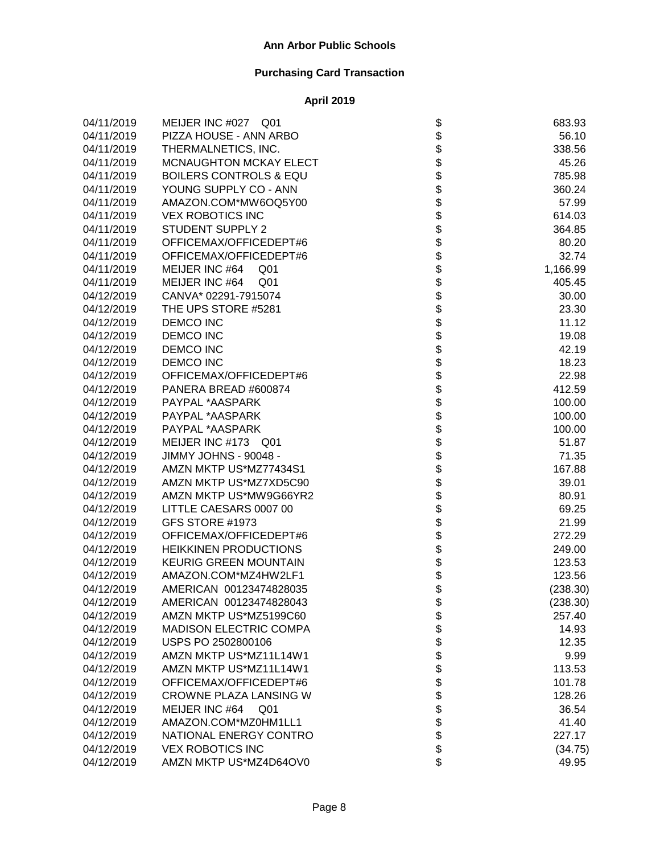| 04/11/2019 | MEIJER INC #027 Q01               | \$                                                                   | 683.93   |
|------------|-----------------------------------|----------------------------------------------------------------------|----------|
| 04/11/2019 | PIZZA HOUSE - ANN ARBO            |                                                                      | 56.10    |
| 04/11/2019 | THERMALNETICS, INC.               |                                                                      | 338.56   |
| 04/11/2019 | MCNAUGHTON MCKAY ELECT            |                                                                      | 45.26    |
| 04/11/2019 | <b>BOILERS CONTROLS &amp; EQU</b> |                                                                      | 785.98   |
| 04/11/2019 | YOUNG SUPPLY CO - ANN             |                                                                      | 360.24   |
| 04/11/2019 | AMAZON.COM*MW6OQ5Y00              |                                                                      | 57.99    |
| 04/11/2019 | <b>VEX ROBOTICS INC</b>           |                                                                      | 614.03   |
| 04/11/2019 | <b>STUDENT SUPPLY 2</b>           |                                                                      | 364.85   |
| 04/11/2019 | OFFICEMAX/OFFICEDEPT#6            |                                                                      | 80.20    |
| 04/11/2019 | OFFICEMAX/OFFICEDEPT#6            |                                                                      | 32.74    |
| 04/11/2019 | MEIJER INC #64<br>Q01             |                                                                      | 1,166.99 |
| 04/11/2019 | MEIJER INC #64<br>Q <sub>01</sub> |                                                                      | 405.45   |
| 04/12/2019 | CANVA* 02291-7915074              |                                                                      | 30.00    |
| 04/12/2019 | THE UPS STORE #5281               |                                                                      | 23.30    |
| 04/12/2019 | <b>DEMCO INC</b>                  |                                                                      | 11.12    |
| 04/12/2019 | DEMCO INC                         |                                                                      | 19.08    |
| 04/12/2019 | <b>DEMCO INC</b>                  |                                                                      | 42.19    |
| 04/12/2019 | <b>DEMCO INC</b>                  |                                                                      | 18.23    |
| 04/12/2019 | OFFICEMAX/OFFICEDEPT#6            |                                                                      | 22.98    |
| 04/12/2019 | PANERA BREAD #600874              |                                                                      | 412.59   |
| 04/12/2019 | PAYPAL *AASPARK                   |                                                                      | 100.00   |
| 04/12/2019 | PAYPAL *AASPARK                   |                                                                      | 100.00   |
| 04/12/2019 | PAYPAL *AASPARK                   |                                                                      | 100.00   |
| 04/12/2019 | MEIJER INC #173 Q01               | \$\$\$\$\$\$\$\$\$\$\$\$\$\$\$\$\$\$\$\$\$\$\$\$\$\$\$\$\$\$\$\$\$\$ | 51.87    |
| 04/12/2019 | JIMMY JOHNS - 90048 -             |                                                                      | 71.35    |
| 04/12/2019 | AMZN MKTP US*MZ77434S1            |                                                                      | 167.88   |
| 04/12/2019 | AMZN MKTP US*MZ7XD5C90            |                                                                      | 39.01    |
| 04/12/2019 | AMZN MKTP US*MW9G66YR2            |                                                                      | 80.91    |
| 04/12/2019 | LITTLE CAESARS 0007 00            |                                                                      | 69.25    |
| 04/12/2019 | GFS STORE #1973                   |                                                                      | 21.99    |
| 04/12/2019 | OFFICEMAX/OFFICEDEPT#6            |                                                                      | 272.29   |
| 04/12/2019 | <b>HEIKKINEN PRODUCTIONS</b>      |                                                                      | 249.00   |
| 04/12/2019 | <b>KEURIG GREEN MOUNTAIN</b>      |                                                                      | 123.53   |
| 04/12/2019 | AMAZON.COM*MZ4HW2LF1              | \$\$\$                                                               | 123.56   |
| 04/12/2019 | AMERICAN 00123474828035           |                                                                      | (238.30) |
| 04/12/2019 | AMERICAN 00123474828043           |                                                                      | (238.30) |
| 04/12/2019 | AMZN MKTP US*MZ5199C60            | P                                                                    | 257.40   |
| 04/12/2019 | <b>MADISON ELECTRIC COMPA</b>     |                                                                      | 14.93    |
| 04/12/2019 | USPS PO 2502800106                |                                                                      | 12.35    |
| 04/12/2019 | AMZN MKTP US*MZ11L14W1            |                                                                      | 9.99     |
| 04/12/2019 | AMZN MKTP US*MZ11L14W1            |                                                                      | 113.53   |
| 04/12/2019 | OFFICEMAX/OFFICEDEPT#6            |                                                                      | 101.78   |
| 04/12/2019 | CROWNE PLAZA LANSING W            |                                                                      | 128.26   |
| 04/12/2019 | MEIJER INC #64<br>Q01             |                                                                      | 36.54    |
| 04/12/2019 | AMAZON.COM*MZ0HM1LL1              | <b>88888888888</b>                                                   | 41.40    |
| 04/12/2019 | NATIONAL ENERGY CONTRO            |                                                                      | 227.17   |
| 04/12/2019 | <b>VEX ROBOTICS INC</b>           |                                                                      | (34.75)  |
| 04/12/2019 | AMZN MKTP US*MZ4D64OV0            | \$                                                                   | 49.95    |
|            |                                   |                                                                      |          |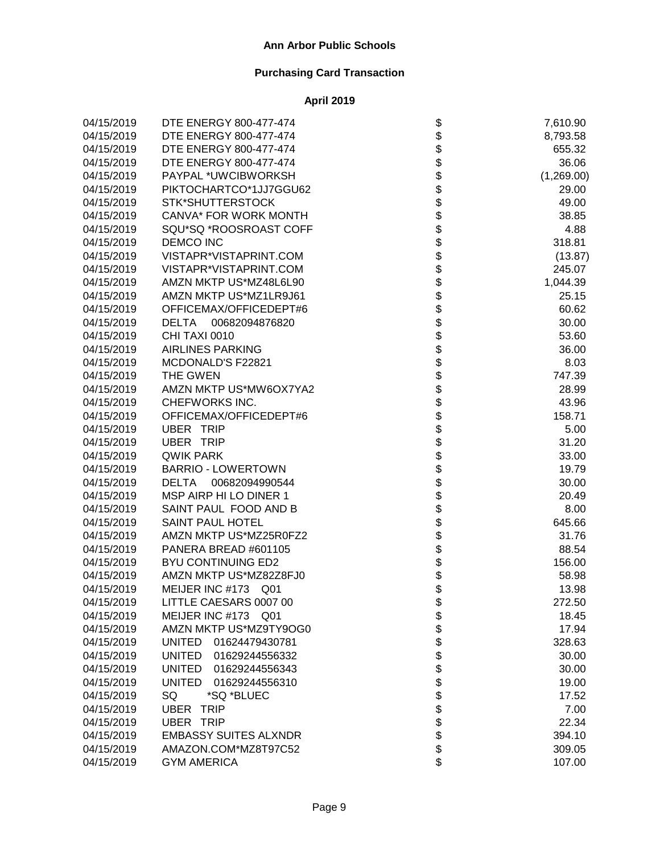| 04/15/2019 | DTE ENERGY 800-477-474          |                   | 7,610.90   |
|------------|---------------------------------|-------------------|------------|
| 04/15/2019 | DTE ENERGY 800-477-474          |                   | 8,793.58   |
| 04/15/2019 | DTE ENERGY 800-477-474          |                   | 655.32     |
| 04/15/2019 | DTE ENERGY 800-477-474          |                   | 36.06      |
| 04/15/2019 | PAYPAL *UWCIBWORKSH             |                   | (1,269.00) |
| 04/15/2019 | PIKTOCHARTCO*1JJ7GGU62          |                   | 29.00      |
| 04/15/2019 | <b>STK*SHUTTERSTOCK</b>         |                   | 49.00      |
| 04/15/2019 | CANVA* FOR WORK MONTH           |                   | 38.85      |
| 04/15/2019 | SQU*SQ *ROOSROAST COFF          |                   | 4.88       |
| 04/15/2019 | <b>DEMCO INC</b>                |                   | 318.81     |
| 04/15/2019 | VISTAPR*VISTAPRINT.COM          |                   | (13.87)    |
| 04/15/2019 | VISTAPR*VISTAPRINT.COM          |                   | 245.07     |
| 04/15/2019 | AMZN MKTP US*MZ48L6L90          |                   | 1,044.39   |
| 04/15/2019 | AMZN MKTP US*MZ1LR9J61          |                   | 25.15      |
| 04/15/2019 | OFFICEMAX/OFFICEDEPT#6          |                   | 60.62      |
| 04/15/2019 | DELTA<br>00682094876820         |                   | 30.00      |
| 04/15/2019 | CHI TAXI 0010                   |                   | 53.60      |
| 04/15/2019 | <b>AIRLINES PARKING</b>         |                   | 36.00      |
| 04/15/2019 | MCDONALD'S F22821               |                   | 8.03       |
| 04/15/2019 | THE GWEN                        |                   | 747.39     |
| 04/15/2019 | AMZN MKTP US*MW6OX7YA2          |                   | 28.99      |
| 04/15/2019 | CHEFWORKS INC.                  |                   | 43.96      |
| 04/15/2019 | OFFICEMAX/OFFICEDEPT#6          |                   | 158.71     |
| 04/15/2019 | <b>UBER TRIP</b>                |                   | 5.00       |
| 04/15/2019 | <b>UBER TRIP</b>                |                   | 31.20      |
| 04/15/2019 | <b>QWIK PARK</b>                |                   | 33.00      |
| 04/15/2019 | <b>BARRIO - LOWERTOWN</b>       |                   | 19.79      |
| 04/15/2019 | 00682094990544<br>DELTA         |                   | 30.00      |
| 04/15/2019 | MSP AIRP HI LO DINER 1          |                   | 20.49      |
| 04/15/2019 | SAINT PAUL FOOD AND B           |                   | 8.00       |
| 04/15/2019 | SAINT PAUL HOTEL                |                   | 645.66     |
| 04/15/2019 | AMZN MKTP US*MZ25R0FZ2          |                   | 31.76      |
| 04/15/2019 | PANERA BREAD #601105            |                   | 88.54      |
| 04/15/2019 | <b>BYU CONTINUING ED2</b>       |                   | 156.00     |
| 04/15/2019 | AMZN MKTP US*MZ82Z8FJ0          |                   | 58.98      |
| 04/15/2019 | MEIJER INC #173 Q01             |                   | 13.98      |
| 04/15/2019 | LITTLE CAESARS 0007 00          | Ф                 | 272.50     |
| 04/15/2019 | MEIJER INC #173<br>Q01          |                   | 18.45      |
| 04/15/2019 | AMZN MKTP US*MZ9TY9OG0          |                   | 17.94      |
| 04/15/2019 | 01624479430781<br><b>UNITED</b> |                   | 328.63     |
| 04/15/2019 | <b>UNITED</b><br>01629244556332 |                   | 30.00      |
| 04/15/2019 | <b>UNITED</b><br>01629244556343 |                   | 30.00      |
| 04/15/2019 | <b>UNITED</b><br>01629244556310 |                   | 19.00      |
| 04/15/2019 | SQ<br>*SQ *BLUEC                |                   | 17.52      |
| 04/15/2019 | <b>UBER</b><br>TRIP             |                   | 7.00       |
| 04/15/2019 | <b>UBER TRIP</b>                | <b>8888888888</b> | 22.34      |
| 04/15/2019 | <b>EMBASSY SUITES ALXNDR</b>    |                   | 394.10     |
| 04/15/2019 | AMAZON.COM*MZ8T97C52            |                   | 309.05     |
| 04/15/2019 | <b>GYM AMERICA</b>              | \$                | 107.00     |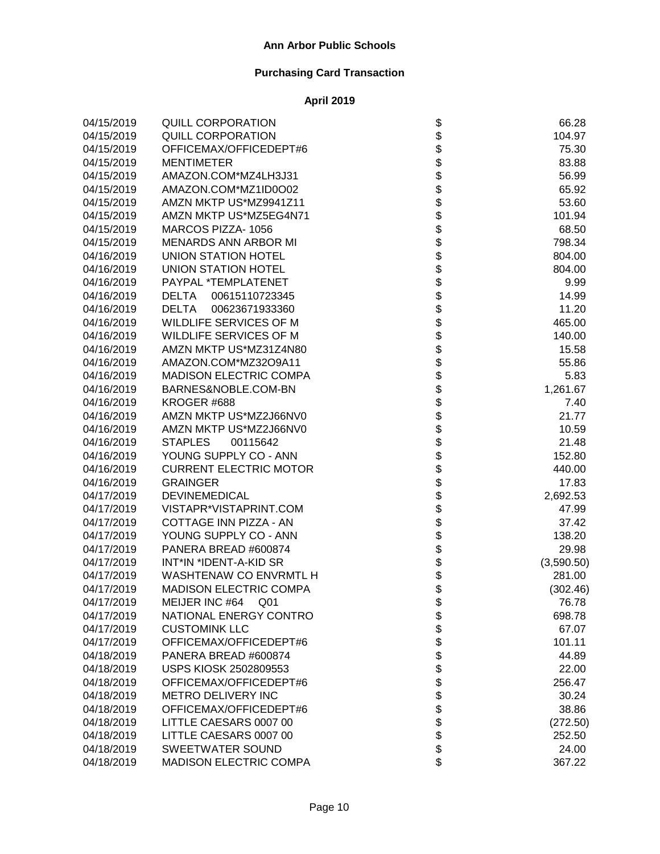| 04/15/2019 | <b>QUILL CORPORATION</b>       | \$                           | 66.28      |
|------------|--------------------------------|------------------------------|------------|
| 04/15/2019 | <b>QUILL CORPORATION</b>       |                              | 104.97     |
| 04/15/2019 | OFFICEMAX/OFFICEDEPT#6         |                              | 75.30      |
| 04/15/2019 | <b>MENTIMETER</b>              |                              | 83.88      |
| 04/15/2019 | AMAZON.COM*MZ4LH3J31           |                              | 56.99      |
| 04/15/2019 | AMAZON.COM*MZ1ID0O02           |                              | 65.92      |
| 04/15/2019 | AMZN MKTP US*MZ9941Z11         |                              | 53.60      |
| 04/15/2019 | AMZN MKTP US*MZ5EG4N71         |                              | 101.94     |
| 04/15/2019 | MARCOS PIZZA-1056              |                              | 68.50      |
| 04/15/2019 | <b>MENARDS ANN ARBOR MI</b>    |                              | 798.34     |
| 04/16/2019 | <b>UNION STATION HOTEL</b>     |                              | 804.00     |
| 04/16/2019 | <b>UNION STATION HOTEL</b>     |                              | 804.00     |
| 04/16/2019 | PAYPAL *TEMPLATENET            |                              | 9.99       |
| 04/16/2019 | DELTA<br>00615110723345        |                              | 14.99      |
| 04/16/2019 | <b>DELTA</b><br>00623671933360 |                              | 11.20      |
| 04/16/2019 | WILDLIFE SERVICES OF M         |                              | 465.00     |
| 04/16/2019 | WILDLIFE SERVICES OF M         |                              | 140.00     |
| 04/16/2019 | AMZN MKTP US*MZ31Z4N80         |                              | 15.58      |
| 04/16/2019 | AMAZON.COM*MZ32O9A11           |                              | 55.86      |
| 04/16/2019 | <b>MADISON ELECTRIC COMPA</b>  |                              | 5.83       |
| 04/16/2019 | BARNES&NOBLE.COM-BN            |                              | 1,261.67   |
| 04/16/2019 | KROGER #688                    |                              | 7.40       |
| 04/16/2019 | AMZN MKTP US*MZ2J66NV0         |                              | 21.77      |
| 04/16/2019 | AMZN MKTP US*MZ2J66NV0         |                              | 10.59      |
| 04/16/2019 | <b>STAPLES</b><br>00115642     |                              | 21.48      |
| 04/16/2019 | YOUNG SUPPLY CO - ANN          |                              | 152.80     |
| 04/16/2019 | <b>CURRENT ELECTRIC MOTOR</b>  |                              | 440.00     |
| 04/16/2019 | <b>GRAINGER</b>                |                              | 17.83      |
| 04/17/2019 | <b>DEVINEMEDICAL</b>           |                              | 2,692.53   |
| 04/17/2019 | VISTAPR*VISTAPRINT.COM         |                              | 47.99      |
| 04/17/2019 | COTTAGE INN PIZZA - AN         |                              | 37.42      |
| 04/17/2019 | YOUNG SUPPLY CO - ANN          |                              | 138.20     |
| 04/17/2019 | PANERA BREAD #600874           |                              | 29.98      |
| 04/17/2019 | INT*IN *IDENT-A-KID SR         |                              | (3,590.50) |
| 04/17/2019 | WASHTENAW CO ENVRMTL H         |                              | 281.00     |
| 04/17/2019 | <b>MADISON ELECTRIC COMPA</b>  |                              | (302.46)   |
| 04/17/2019 | MEIJER INC #64<br>Q01          | \$                           | 76.78      |
| 04/17/2019 | NATIONAL ENERGY CONTRO         |                              | 698.78     |
| 04/17/2019 | <b>CUSTOMINK LLC</b>           |                              | 67.07      |
| 04/17/2019 | OFFICEMAX/OFFICEDEPT#6         |                              | 101.11     |
| 04/18/2019 | PANERA BREAD #600874           |                              | 44.89      |
| 04/18/2019 | USPS KIOSK 2502809553          |                              | 22.00      |
| 04/18/2019 | OFFICEMAX/OFFICEDEPT#6         |                              | 256.47     |
| 04/18/2019 | METRO DELIVERY INC             |                              | 30.24      |
| 04/18/2019 | OFFICEMAX/OFFICEDEPT#6         |                              | 38.86      |
| 04/18/2019 | LITTLE CAESARS 0007 00         | \$\$\$\$\$\$\$\$\$\$\$\$\$\$ | (272.50)   |
| 04/18/2019 | LITTLE CAESARS 0007 00         |                              | 252.50     |
| 04/18/2019 | <b>SWEETWATER SOUND</b>        |                              | 24.00      |
| 04/18/2019 | MADISON ELECTRIC COMPA         |                              | 367.22     |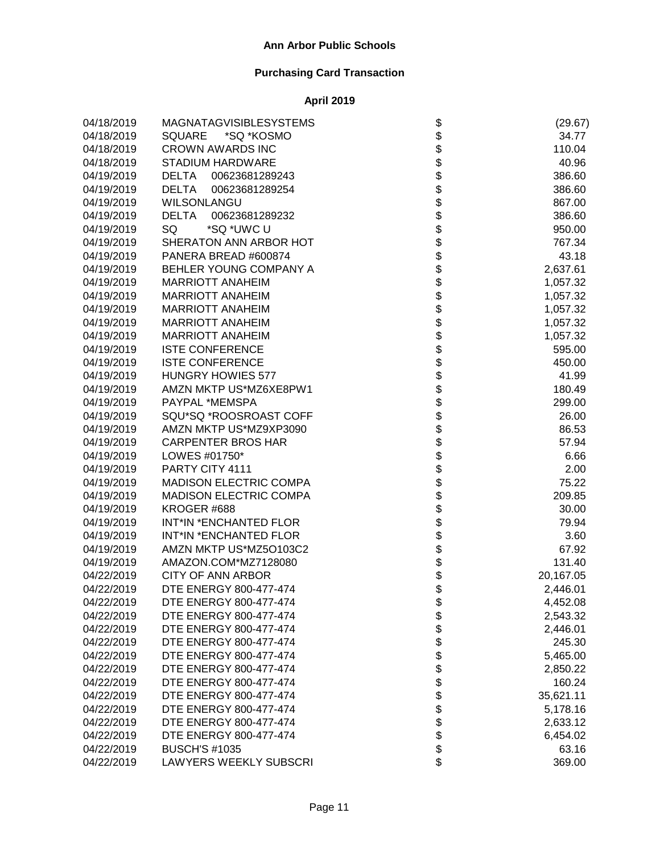| 04/18/2019 | <b>MAGNATAGVISIBLESYSTEMS</b>  |                                     | (29.67)   |
|------------|--------------------------------|-------------------------------------|-----------|
| 04/18/2019 | <b>SQUARE</b><br>*SQ *KOSMO    |                                     | 34.77     |
| 04/18/2019 | <b>CROWN AWARDS INC</b>        |                                     | 110.04    |
| 04/18/2019 | <b>STADIUM HARDWARE</b>        |                                     | 40.96     |
| 04/19/2019 | 00623681289243<br><b>DELTA</b> |                                     | 386.60    |
| 04/19/2019 | <b>DELTA</b><br>00623681289254 |                                     | 386.60    |
| 04/19/2019 | <b>WILSONLANGU</b>             |                                     | 867.00    |
| 04/19/2019 | <b>DELTA</b><br>00623681289232 |                                     | 386.60    |
| 04/19/2019 | SQ<br>*SQ *UWC U               |                                     | 950.00    |
| 04/19/2019 | SHERATON ANN ARBOR HOT         |                                     | 767.34    |
| 04/19/2019 | PANERA BREAD #600874           |                                     | 43.18     |
| 04/19/2019 | BEHLER YOUNG COMPANY A         |                                     | 2,637.61  |
| 04/19/2019 | <b>MARRIOTT ANAHEIM</b>        |                                     | 1,057.32  |
| 04/19/2019 | <b>MARRIOTT ANAHEIM</b>        |                                     | 1,057.32  |
| 04/19/2019 | <b>MARRIOTT ANAHEIM</b>        |                                     | 1,057.32  |
| 04/19/2019 | <b>MARRIOTT ANAHEIM</b>        |                                     | 1,057.32  |
| 04/19/2019 | <b>MARRIOTT ANAHEIM</b>        |                                     | 1,057.32  |
| 04/19/2019 | <b>ISTE CONFERENCE</b>         |                                     | 595.00    |
| 04/19/2019 | <b>ISTE CONFERENCE</b>         |                                     | 450.00    |
| 04/19/2019 | <b>HUNGRY HOWIES 577</b>       |                                     | 41.99     |
| 04/19/2019 | AMZN MKTP US*MZ6XE8PW1         |                                     | 180.49    |
| 04/19/2019 | PAYPAL *MEMSPA                 |                                     | 299.00    |
| 04/19/2019 | SQU*SQ *ROOSROAST COFF         |                                     | 26.00     |
| 04/19/2019 | AMZN MKTP US*MZ9XP3090         |                                     | 86.53     |
| 04/19/2019 | <b>CARPENTER BROS HAR</b>      |                                     | 57.94     |
| 04/19/2019 | LOWES #01750*                  | ֍֎֍֍֍֍֍֍֍֍֍֍֍֍֍֍֍֍֍֍֍֍֍֍֍֍֍֍֍֍֍֍֍֍֍ | 6.66      |
| 04/19/2019 | PARTY CITY 4111                |                                     | 2.00      |
| 04/19/2019 | <b>MADISON ELECTRIC COMPA</b>  |                                     | 75.22     |
| 04/19/2019 | <b>MADISON ELECTRIC COMPA</b>  |                                     | 209.85    |
| 04/19/2019 | KROGER #688                    |                                     | 30.00     |
| 04/19/2019 | INT*IN *ENCHANTED FLOR         |                                     | 79.94     |
| 04/19/2019 | INT*IN *ENCHANTED FLOR         |                                     | 3.60      |
| 04/19/2019 | AMZN MKTP US*MZ5O103C2         |                                     | 67.92     |
| 04/19/2019 | AMAZON.COM*MZ7128080           |                                     | 131.40    |
| 04/22/2019 | <b>CITY OF ANN ARBOR</b>       |                                     | 20,167.05 |
| 04/22/2019 | DTE ENERGY 800-477-474         |                                     | 2,446.01  |
| 04/22/2019 | DTE ENERGY 800-477-474         | Φ                                   | 4,452.08  |
| 04/22/2019 | DTE ENERGY 800-477-474         |                                     | 2,543.32  |
| 04/22/2019 | DTE ENERGY 800-477-474         |                                     | 2,446.01  |
| 04/22/2019 | DTE ENERGY 800-477-474         |                                     | 245.30    |
| 04/22/2019 | DTE ENERGY 800-477-474         |                                     | 5,465.00  |
| 04/22/2019 | DTE ENERGY 800-477-474         |                                     | 2,850.22  |
| 04/22/2019 | DTE ENERGY 800-477-474         |                                     | 160.24    |
| 04/22/2019 | DTE ENERGY 800-477-474         |                                     | 35,621.11 |
| 04/22/2019 | DTE ENERGY 800-477-474         |                                     | 5,178.16  |
| 04/22/2019 | DTE ENERGY 800-477-474         | <b>88888888888</b>                  | 2,633.12  |
| 04/22/2019 | DTE ENERGY 800-477-474         |                                     | 6,454.02  |
| 04/22/2019 | <b>BUSCH'S #1035</b>           |                                     | 63.16     |
| 04/22/2019 | <b>LAWYERS WEEKLY SUBSCRI</b>  | \$                                  | 369.00    |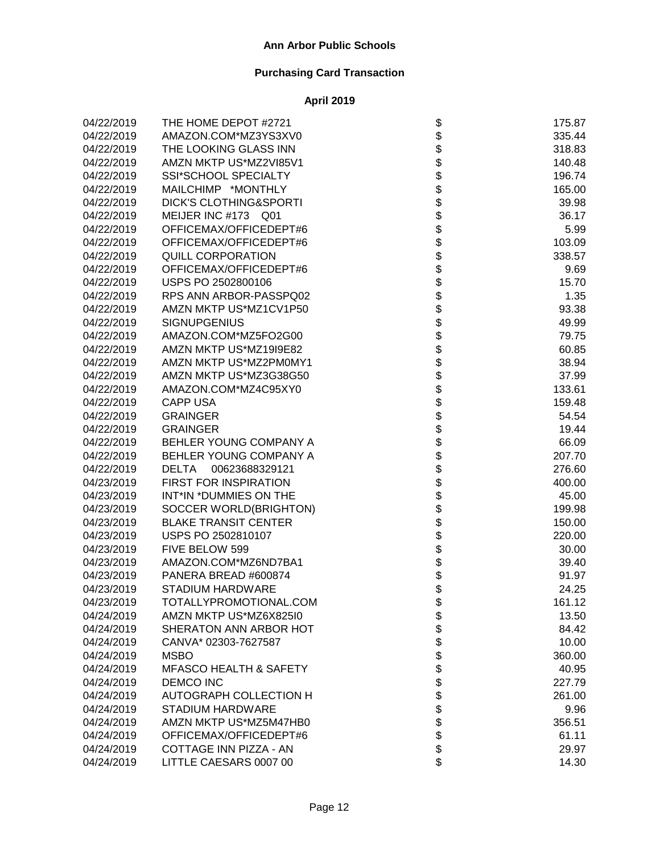| 04/22/2019 | THE HOME DEPOT #2721              | \$                            | 175.87 |
|------------|-----------------------------------|-------------------------------|--------|
| 04/22/2019 | AMAZON.COM*MZ3YS3XV0              |                               | 335.44 |
| 04/22/2019 | THE LOOKING GLASS INN             |                               | 318.83 |
| 04/22/2019 | AMZN MKTP US*MZ2VI85V1            |                               | 140.48 |
| 04/22/2019 | <b>SSI*SCHOOL SPECIALTY</b>       |                               | 196.74 |
| 04/22/2019 | MAILCHIMP *MONTHLY                |                               | 165.00 |
| 04/22/2019 | <b>DICK'S CLOTHING&amp;SPORTI</b> |                               | 39.98  |
| 04/22/2019 | MEIJER INC #173 Q01               |                               | 36.17  |
| 04/22/2019 | OFFICEMAX/OFFICEDEPT#6            |                               | 5.99   |
| 04/22/2019 | OFFICEMAX/OFFICEDEPT#6            |                               | 103.09 |
| 04/22/2019 | QUILL CORPORATION                 |                               | 338.57 |
| 04/22/2019 | OFFICEMAX/OFFICEDEPT#6            |                               | 9.69   |
| 04/22/2019 | USPS PO 2502800106                |                               | 15.70  |
| 04/22/2019 | RPS ANN ARBOR-PASSPQ02            |                               | 1.35   |
| 04/22/2019 | AMZN MKTP US*MZ1CV1P50            |                               | 93.38  |
| 04/22/2019 | <b>SIGNUPGENIUS</b>               |                               | 49.99  |
| 04/22/2019 | AMAZON.COM*MZ5FO2G00              |                               | 79.75  |
| 04/22/2019 | AMZN MKTP US*MZ19I9E82            |                               | 60.85  |
| 04/22/2019 | AMZN MKTP US*MZ2PM0MY1            |                               | 38.94  |
| 04/22/2019 | AMZN MKTP US*MZ3G38G50            |                               | 37.99  |
| 04/22/2019 | AMAZON.COM*MZ4C95XY0              |                               | 133.61 |
| 04/22/2019 | <b>CAPP USA</b>                   |                               | 159.48 |
| 04/22/2019 | <b>GRAINGER</b>                   |                               | 54.54  |
| 04/22/2019 | <b>GRAINGER</b>                   |                               | 19.44  |
| 04/22/2019 | BEHLER YOUNG COMPANY A            |                               | 66.09  |
| 04/22/2019 | BEHLER YOUNG COMPANY A            | ֍֍֍֍֍֍֍֍֍֍֍֍֍֍֍֍֍֍֍֍֍֍֍֍֍֍֍֍֍ | 207.70 |
| 04/22/2019 | <b>DELTA</b><br>00623688329121    |                               | 276.60 |
| 04/23/2019 | FIRST FOR INSPIRATION             |                               | 400.00 |
| 04/23/2019 | INT*IN *DUMMIES ON THE            |                               | 45.00  |
| 04/23/2019 | SOCCER WORLD(BRIGHTON)            |                               | 199.98 |
| 04/23/2019 | <b>BLAKE TRANSIT CENTER</b>       |                               | 150.00 |
| 04/23/2019 | USPS PO 2502810107                |                               | 220.00 |
| 04/23/2019 | FIVE BELOW 599                    | \$\$\$\$                      | 30.00  |
| 04/23/2019 | AMAZON.COM*MZ6ND7BA1              |                               | 39.40  |
| 04/23/2019 | PANERA BREAD #600874              |                               | 91.97  |
| 04/23/2019 | <b>STADIUM HARDWARE</b>           |                               | 24.25  |
| 04/23/2019 | TOTALLYPROMOTIONAL.COM            | P                             | 161.12 |
| 04/24/2019 | AMZN MKTP US*MZ6X825I0            |                               | 13.50  |
| 04/24/2019 | SHERATON ANN ARBOR HOT            |                               | 84.42  |
| 04/24/2019 | CANVA* 02303-7627587              |                               | 10.00  |
| 04/24/2019 | <b>MSBO</b>                       |                               | 360.00 |
| 04/24/2019 | <b>MFASCO HEALTH &amp; SAFETY</b> |                               | 40.95  |
| 04/24/2019 | <b>DEMCO INC</b>                  |                               | 227.79 |
| 04/24/2019 | AUTOGRAPH COLLECTION H            |                               | 261.00 |
| 04/24/2019 | STADIUM HARDWARE                  | <b>88888888888</b>            | 9.96   |
| 04/24/2019 | AMZN MKTP US*MZ5M47HB0            |                               | 356.51 |
| 04/24/2019 | OFFICEMAX/OFFICEDEPT#6            |                               | 61.11  |
| 04/24/2019 | COTTAGE INN PIZZA - AN            |                               | 29.97  |
| 04/24/2019 | LITTLE CAESARS 0007 00            | \$                            | 14.30  |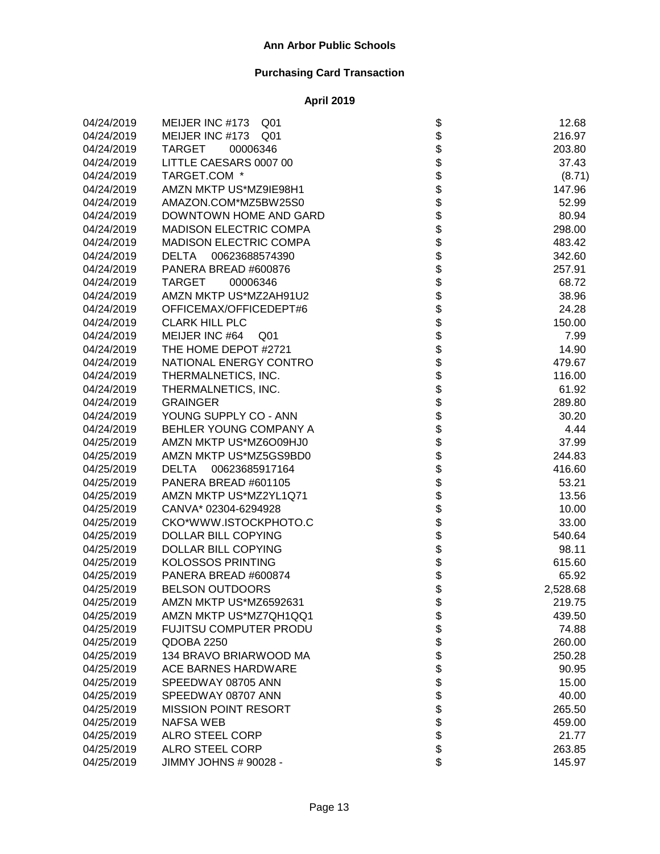| 04/24/2019 | MEIJER INC #173<br>Q <sub>01</sub> |                              | 12.68    |
|------------|------------------------------------|------------------------------|----------|
| 04/24/2019 | MEIJER INC #173 Q01                |                              | 216.97   |
| 04/24/2019 | TARGET<br>00006346                 |                              | 203.80   |
| 04/24/2019 | LITTLE CAESARS 0007 00             |                              | 37.43    |
| 04/24/2019 | TARGET.COM *                       |                              | (8.71)   |
| 04/24/2019 | AMZN MKTP US*MZ9IE98H1             |                              | 147.96   |
| 04/24/2019 | AMAZON.COM*MZ5BW25S0               |                              | 52.99    |
| 04/24/2019 | DOWNTOWN HOME AND GARD             |                              | 80.94    |
| 04/24/2019 | <b>MADISON ELECTRIC COMPA</b>      |                              | 298.00   |
| 04/24/2019 | MADISON ELECTRIC COMPA             |                              | 483.42   |
| 04/24/2019 | DELTA<br>00623688574390            |                              | 342.60   |
| 04/24/2019 | PANERA BREAD #600876               |                              | 257.91   |
| 04/24/2019 | TARGET<br>00006346                 |                              | 68.72    |
| 04/24/2019 | AMZN MKTP US*MZ2AH91U2             |                              | 38.96    |
| 04/24/2019 | OFFICEMAX/OFFICEDEPT#6             |                              | 24.28    |
| 04/24/2019 | <b>CLARK HILL PLC</b>              |                              | 150.00   |
| 04/24/2019 | MEIJER INC #64<br>Q <sub>01</sub>  |                              | 7.99     |
| 04/24/2019 | THE HOME DEPOT #2721               |                              | 14.90    |
| 04/24/2019 | NATIONAL ENERGY CONTRO             |                              | 479.67   |
| 04/24/2019 | THERMALNETICS, INC.                |                              | 116.00   |
| 04/24/2019 | THERMALNETICS, INC.                |                              | 61.92    |
| 04/24/2019 | <b>GRAINGER</b>                    |                              | 289.80   |
| 04/24/2019 | YOUNG SUPPLY CO - ANN              |                              | 30.20    |
| 04/24/2019 | BEHLER YOUNG COMPANY A             |                              | 4.44     |
| 04/25/2019 | AMZN MKTP US*MZ6O09HJ0             |                              | 37.99    |
| 04/25/2019 | AMZN MKTP US*MZ5GS9BD0             |                              | 244.83   |
| 04/25/2019 | DELTA 00623685917164               |                              | 416.60   |
| 04/25/2019 | PANERA BREAD #601105               |                              | 53.21    |
| 04/25/2019 | AMZN MKTP US*MZ2YL1Q71             |                              | 13.56    |
| 04/25/2019 | CANVA* 02304-6294928               |                              | 10.00    |
| 04/25/2019 | CKO*WWW.ISTOCKPHOTO.C              |                              | 33.00    |
| 04/25/2019 | <b>DOLLAR BILL COPYING</b>         |                              | 540.64   |
| 04/25/2019 | <b>DOLLAR BILL COPYING</b>         |                              | 98.11    |
| 04/25/2019 | <b>KOLOSSOS PRINTING</b>           |                              | 615.60   |
| 04/25/2019 | PANERA BREAD #600874               |                              | 65.92    |
| 04/25/2019 | <b>BELSON OUTDOORS</b>             |                              | 2,528.68 |
| 04/25/2019 | AMZN MKTP US*MZ6592631             | \$                           | 219.75   |
| 04/25/2019 | AMZN MKTP US*MZ7QH1QQ1             |                              | 439.50   |
| 04/25/2019 | FUJITSU COMPUTER PRODU             |                              | 74.88    |
| 04/25/2019 | QDOBA 2250                         |                              | 260.00   |
| 04/25/2019 | 134 BRAVO BRIARWOOD MA             |                              | 250.28   |
| 04/25/2019 | <b>ACE BARNES HARDWARE</b>         |                              | 90.95    |
| 04/25/2019 | SPEEDWAY 08705 ANN                 |                              | 15.00    |
| 04/25/2019 | SPEEDWAY 08707 ANN                 |                              | 40.00    |
| 04/25/2019 | <b>MISSION POINT RESORT</b>        |                              | 265.50   |
| 04/25/2019 | <b>NAFSA WEB</b>                   | \$\$\$\$\$\$\$\$\$\$\$\$\$\$ | 459.00   |
| 04/25/2019 | <b>ALRO STEEL CORP</b>             |                              | 21.77    |
| 04/25/2019 | <b>ALRO STEEL CORP</b>             |                              | 263.85   |
| 04/25/2019 | JIMMY JOHNS # 90028 -              |                              | 145.97   |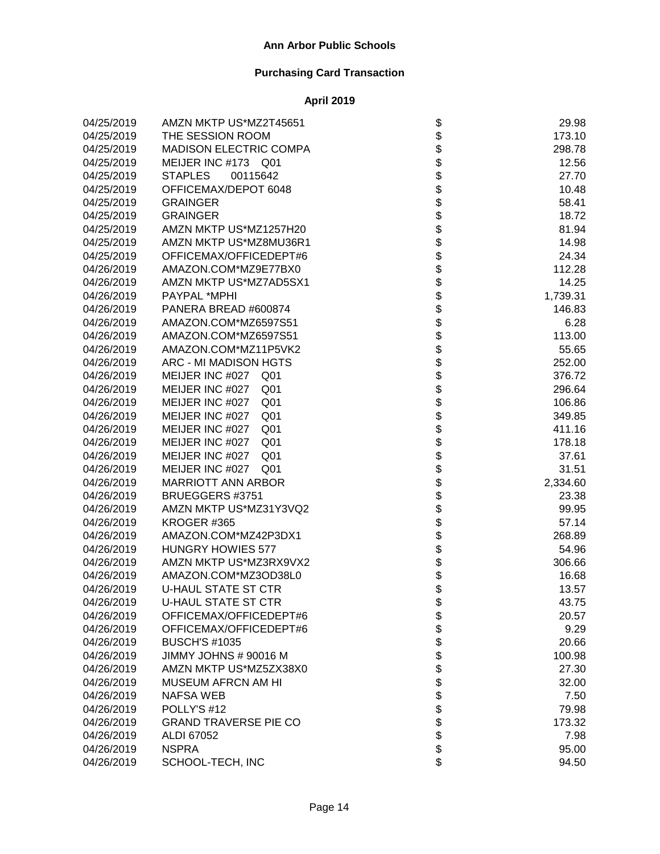| 04/25/2019 | AMZN MKTP US*MZ2T45651             |                   | 29.98    |
|------------|------------------------------------|-------------------|----------|
| 04/25/2019 | THE SESSION ROOM                   |                   | 173.10   |
| 04/25/2019 | <b>MADISON ELECTRIC COMPA</b>      |                   | 298.78   |
| 04/25/2019 | MEIJER INC #173 Q01                |                   | 12.56    |
| 04/25/2019 | <b>STAPLES</b><br>00115642         |                   | 27.70    |
| 04/25/2019 | OFFICEMAX/DEPOT 6048               |                   | 10.48    |
| 04/25/2019 | <b>GRAINGER</b>                    |                   | 58.41    |
| 04/25/2019 | <b>GRAINGER</b>                    |                   | 18.72    |
| 04/25/2019 | AMZN MKTP US*MZ1257H20             |                   | 81.94    |
| 04/25/2019 | AMZN MKTP US*MZ8MU36R1             |                   | 14.98    |
| 04/25/2019 | OFFICEMAX/OFFICEDEPT#6             |                   | 24.34    |
| 04/26/2019 | AMAZON.COM*MZ9E77BX0               |                   | 112.28   |
| 04/26/2019 | AMZN MKTP US*MZ7AD5SX1             |                   | 14.25    |
| 04/26/2019 | PAYPAL *MPHI                       |                   | 1,739.31 |
| 04/26/2019 | PANERA BREAD #600874               |                   | 146.83   |
| 04/26/2019 | AMAZON.COM*MZ6597S51               |                   | 6.28     |
| 04/26/2019 | AMAZON.COM*MZ6597S51               |                   | 113.00   |
| 04/26/2019 | AMAZON.COM*MZ11P5VK2               |                   | 55.65    |
| 04/26/2019 | ARC - MI MADISON HGTS              |                   | 252.00   |
| 04/26/2019 | MEIJER INC #027<br>Q <sub>01</sub> |                   | 376.72   |
| 04/26/2019 | MEIJER INC #027<br>Q <sub>01</sub> |                   | 296.64   |
| 04/26/2019 | MEIJER INC #027<br>Q <sub>01</sub> |                   | 106.86   |
| 04/26/2019 | MEIJER INC #027<br>Q <sub>01</sub> |                   | 349.85   |
| 04/26/2019 | MEIJER INC #027<br>Q <sub>01</sub> |                   | 411.16   |
| 04/26/2019 | MEIJER INC #027<br>Q <sub>01</sub> |                   | 178.18   |
| 04/26/2019 | MEIJER INC #027<br>Q <sub>01</sub> |                   | 37.61    |
| 04/26/2019 | MEIJER INC #027<br>Q <sub>01</sub> |                   | 31.51    |
| 04/26/2019 | <b>MARRIOTT ANN ARBOR</b>          |                   | 2,334.60 |
| 04/26/2019 | BRUEGGERS #3751                    |                   | 23.38    |
| 04/26/2019 | AMZN MKTP US*MZ31Y3VQ2             |                   | 99.95    |
| 04/26/2019 | KROGER #365                        |                   | 57.14    |
| 04/26/2019 | AMAZON.COM*MZ42P3DX1               |                   | 268.89   |
| 04/26/2019 | <b>HUNGRY HOWIES 577</b>           |                   | 54.96    |
| 04/26/2019 | AMZN MKTP US*MZ3RX9VX2             |                   | 306.66   |
| 04/26/2019 | AMAZON.COM*MZ3OD38L0               |                   | 16.68    |
| 04/26/2019 | <b>U-HAUL STATE ST CTR</b>         |                   | 13.57    |
| 04/26/2019 | <b>U-HAUL STATE ST CTR</b>         | \$                | 43.75    |
| 04/26/2019 | OFFICEMAX/OFFICEDEPT#6             |                   | 20.57    |
| 04/26/2019 | OFFICEMAX/OFFICEDEPT#6             |                   | 9.29     |
| 04/26/2019 | <b>BUSCH'S #1035</b>               |                   | 20.66    |
| 04/26/2019 | JIMMY JOHNS # 90016 M              |                   | 100.98   |
| 04/26/2019 | AMZN MKTP US*MZ5ZX38X0             |                   | 27.30    |
| 04/26/2019 | <b>MUSEUM AFRCN AM HI</b>          |                   | 32.00    |
| 04/26/2019 | <b>NAFSA WEB</b>                   |                   | 7.50     |
| 04/26/2019 | POLLY'S #12                        | <b>8888888888</b> | 79.98    |
| 04/26/2019 | <b>GRAND TRAVERSE PIE CO</b>       |                   | 173.32   |
| 04/26/2019 | ALDI 67052                         |                   | 7.98     |
| 04/26/2019 | <b>NSPRA</b>                       |                   | 95.00    |
| 04/26/2019 | SCHOOL-TECH, INC                   | \$                | 94.50    |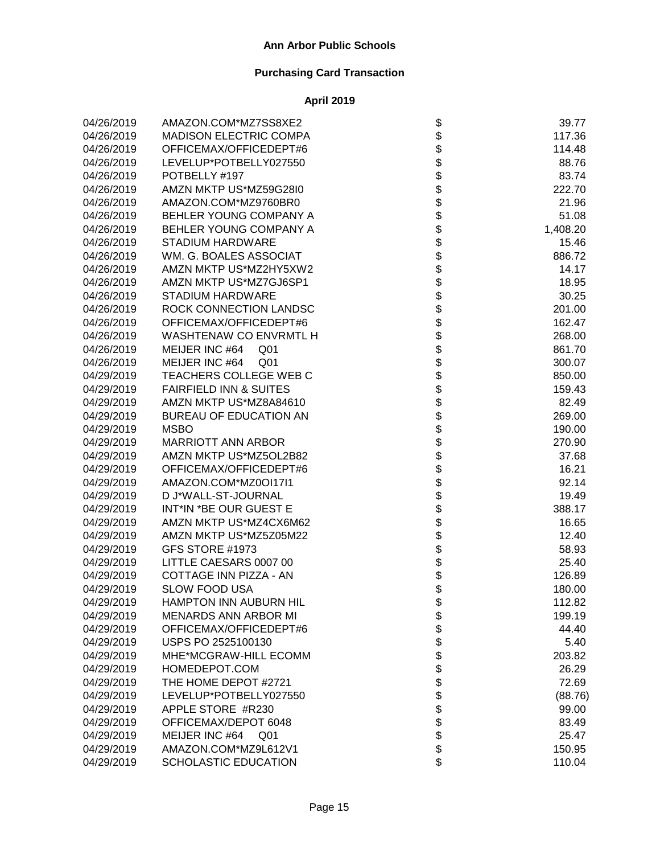| 04/26/2019 | AMAZON.COM*MZ7SS8XE2              | \$                                                                         | 39.77    |
|------------|-----------------------------------|----------------------------------------------------------------------------|----------|
| 04/26/2019 | <b>MADISON ELECTRIC COMPA</b>     |                                                                            | 117.36   |
| 04/26/2019 | OFFICEMAX/OFFICEDEPT#6            |                                                                            | 114.48   |
| 04/26/2019 | LEVELUP*POTBELLY027550            |                                                                            | 88.76    |
| 04/26/2019 | POTBELLY #197                     |                                                                            | 83.74    |
| 04/26/2019 | AMZN MKTP US*MZ59G28I0            |                                                                            | 222.70   |
| 04/26/2019 | AMAZON.COM*MZ9760BR0              |                                                                            | 21.96    |
| 04/26/2019 | BEHLER YOUNG COMPANY A            |                                                                            | 51.08    |
| 04/26/2019 | BEHLER YOUNG COMPANY A            |                                                                            | 1,408.20 |
| 04/26/2019 | <b>STADIUM HARDWARE</b>           |                                                                            | 15.46    |
| 04/26/2019 | WM. G. BOALES ASSOCIAT            |                                                                            | 886.72   |
| 04/26/2019 | AMZN MKTP US*MZ2HY5XW2            |                                                                            | 14.17    |
| 04/26/2019 | AMZN MKTP US*MZ7GJ6SP1            |                                                                            | 18.95    |
| 04/26/2019 | <b>STADIUM HARDWARE</b>           |                                                                            | 30.25    |
| 04/26/2019 | ROCK CONNECTION LANDSC            |                                                                            | 201.00   |
| 04/26/2019 | OFFICEMAX/OFFICEDEPT#6            |                                                                            | 162.47   |
| 04/26/2019 | WASHTENAW CO ENVRMTL H            |                                                                            | 268.00   |
| 04/26/2019 | MEIJER INC #64<br>Q <sub>01</sub> |                                                                            | 861.70   |
| 04/26/2019 | MEIJER INC #64<br>Q <sub>01</sub> |                                                                            | 300.07   |
| 04/29/2019 | TEACHERS COLLEGE WEB C            |                                                                            | 850.00   |
| 04/29/2019 | <b>FAIRFIELD INN &amp; SUITES</b> |                                                                            | 159.43   |
| 04/29/2019 | AMZN MKTP US*MZ8A84610            |                                                                            | 82.49    |
| 04/29/2019 | BUREAU OF EDUCATION AN            |                                                                            | 269.00   |
| 04/29/2019 | <b>MSBO</b>                       |                                                                            | 190.00   |
| 04/29/2019 | MARRIOTT ANN ARBOR                |                                                                            | 270.90   |
| 04/29/2019 | AMZN MKTP US*MZ5OL2B82            | \$\$\$\$\$\$\$\$\$\$\$\$\$\$\$\$\$\$\$\$\$\$\$\$\$\$\$\$\$\$\$\$\$\$\$\$\$ | 37.68    |
| 04/29/2019 | OFFICEMAX/OFFICEDEPT#6            |                                                                            | 16.21    |
| 04/29/2019 | AMAZON.COM*MZ0OI17I1              |                                                                            | 92.14    |
| 04/29/2019 | D J*WALL-ST-JOURNAL               |                                                                            | 19.49    |
| 04/29/2019 | INT*IN *BE OUR GUEST E            |                                                                            | 388.17   |
| 04/29/2019 | AMZN MKTP US*MZ4CX6M62            |                                                                            | 16.65    |
| 04/29/2019 | AMZN MKTP US*MZ5Z05M22            |                                                                            | 12.40    |
| 04/29/2019 | GFS STORE #1973                   | \$                                                                         | 58.93    |
| 04/29/2019 | LITTLE CAESARS 0007 00            |                                                                            | 25.40    |
| 04/29/2019 | COTTAGE INN PIZZA - AN            | \$\$                                                                       | 126.89   |
| 04/29/2019 | <b>SLOW FOOD USA</b>              |                                                                            | 180.00   |
| 04/29/2019 | HAMPTON INN AUBURN HIL            | P                                                                          | 112.82   |
| 04/29/2019 | <b>MENARDS ANN ARBOR MI</b>       |                                                                            | 199.19   |
| 04/29/2019 | OFFICEMAX/OFFICEDEPT#6            |                                                                            | 44.40    |
| 04/29/2019 | USPS PO 2525100130                |                                                                            | 5.40     |
| 04/29/2019 | MHE*MCGRAW-HILL ECOMM             |                                                                            | 203.82   |
| 04/29/2019 | HOMEDEPOT.COM                     |                                                                            | 26.29    |
| 04/29/2019 | THE HOME DEPOT #2721              |                                                                            | 72.69    |
| 04/29/2019 | LEVELUP*POTBELLY027550            |                                                                            | (88.76)  |
| 04/29/2019 | APPLE STORE #R230                 |                                                                            | 99.00    |
| 04/29/2019 | OFFICEMAX/DEPOT 6048              | <b>88888888888</b>                                                         | 83.49    |
| 04/29/2019 | MEIJER INC #64<br>Q <sub>01</sub> |                                                                            | 25.47    |
| 04/29/2019 | AMAZON.COM*MZ9L612V1              |                                                                            | 150.95   |
| 04/29/2019 | <b>SCHOLASTIC EDUCATION</b>       | \$                                                                         | 110.04   |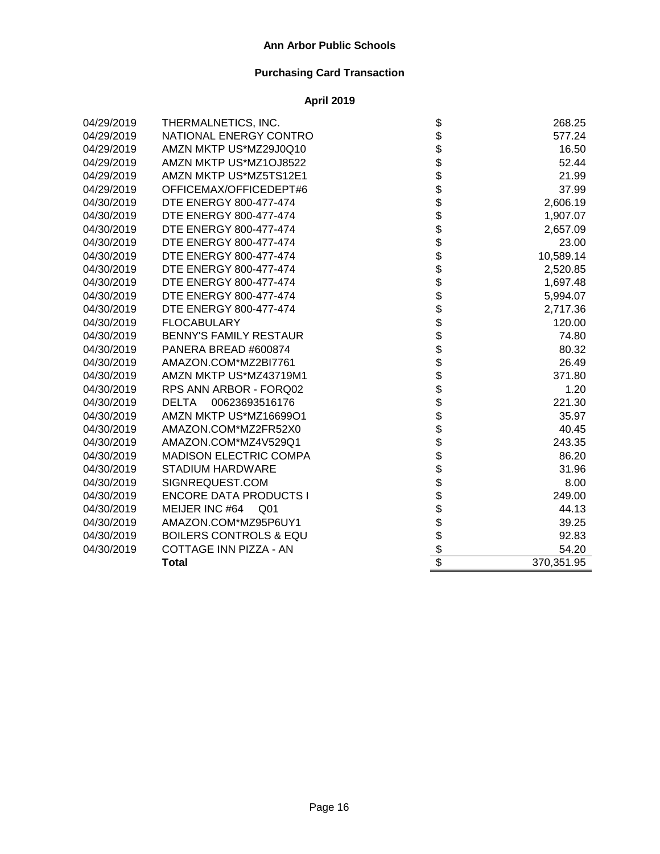| 04/29/2019 | THERMALNETICS, INC.               |                                   | 268.25     |
|------------|-----------------------------------|-----------------------------------|------------|
| 04/29/2019 | NATIONAL ENERGY CONTRO            |                                   | 577.24     |
| 04/29/2019 | AMZN MKTP US*MZ29J0Q10            |                                   | 16.50      |
| 04/29/2019 | AMZN MKTP US*MZ1OJ8522            |                                   | 52.44      |
| 04/29/2019 | AMZN MKTP US*MZ5TS12E1            |                                   | 21.99      |
| 04/29/2019 | OFFICEMAX/OFFICEDEPT#6            |                                   | 37.99      |
| 04/30/2019 | DTE ENERGY 800-477-474            |                                   | 2,606.19   |
| 04/30/2019 | DTE ENERGY 800-477-474            |                                   | 1,907.07   |
| 04/30/2019 | DTE ENERGY 800-477-474            |                                   | 2,657.09   |
| 04/30/2019 | DTE ENERGY 800-477-474            |                                   | 23.00      |
| 04/30/2019 | DTE ENERGY 800-477-474            |                                   | 10,589.14  |
| 04/30/2019 | DTE ENERGY 800-477-474            |                                   | 2,520.85   |
| 04/30/2019 | DTE ENERGY 800-477-474            |                                   | 1,697.48   |
| 04/30/2019 | DTE ENERGY 800-477-474            |                                   | 5,994.07   |
| 04/30/2019 | DTE ENERGY 800-477-474            |                                   | 2,717.36   |
| 04/30/2019 | <b>FLOCABULARY</b>                |                                   | 120.00     |
| 04/30/2019 | <b>BENNY'S FAMILY RESTAUR</b>     |                                   | 74.80      |
| 04/30/2019 | PANERA BREAD #600874              |                                   | 80.32      |
| 04/30/2019 | AMAZON.COM*MZ2BI7761              |                                   | 26.49      |
| 04/30/2019 | AMZN MKTP US*MZ43719M1            |                                   | 371.80     |
| 04/30/2019 | RPS ANN ARBOR - FORQ02            |                                   | 1.20       |
| 04/30/2019 | 00623693516176<br><b>DELTA</b>    |                                   | 221.30     |
| 04/30/2019 | AMZN MKTP US*MZ16699O1            |                                   | 35.97      |
| 04/30/2019 | AMAZON.COM*MZ2FR52X0              |                                   | 40.45      |
| 04/30/2019 | AMAZON.COM*MZ4V529Q1              |                                   | 243.35     |
| 04/30/2019 | <b>MADISON ELECTRIC COMPA</b>     |                                   | 86.20      |
| 04/30/2019 | <b>STADIUM HARDWARE</b>           |                                   | 31.96      |
| 04/30/2019 | SIGNREQUEST.COM                   |                                   | 8.00       |
| 04/30/2019 | <b>ENCORE DATA PRODUCTS I</b>     |                                   | 249.00     |
| 04/30/2019 | MEIJER INC #64<br>Q01             |                                   | 44.13      |
| 04/30/2019 | AMAZON.COM*MZ95P6UY1              |                                   | 39.25      |
| 04/30/2019 | <b>BOILERS CONTROLS &amp; EQU</b> |                                   | 92.83      |
| 04/30/2019 | COTTAGE INN PIZZA - AN            | ֎֎֎֎֎֍֎֎֍֎֎֍֎֎֍֎֍֎֍֎֍֎֎֍֎֍֎֎֍֎֎֍֎ | 54.20      |
|            | <b>Total</b>                      |                                   | 370,351.95 |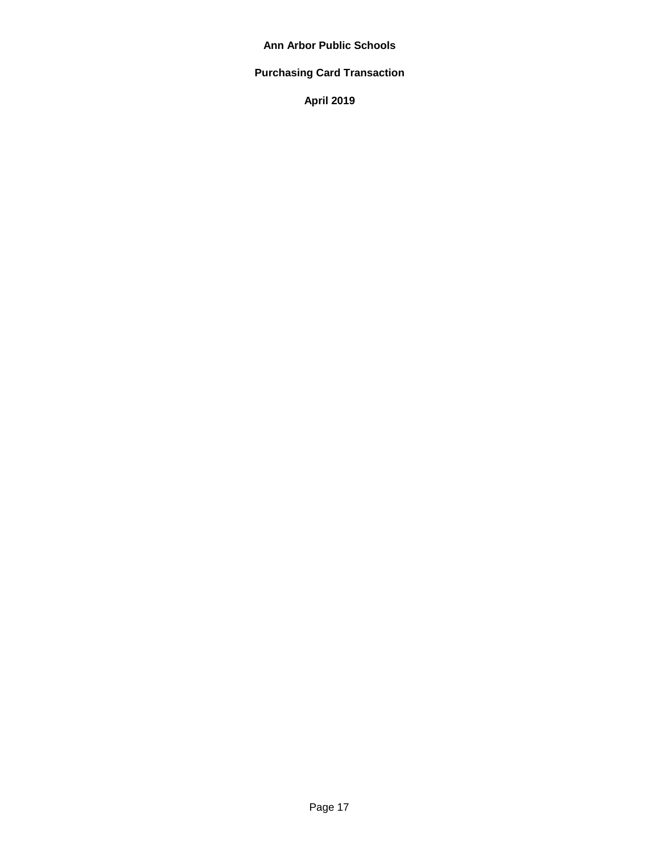# **Purchasing Card Transaction**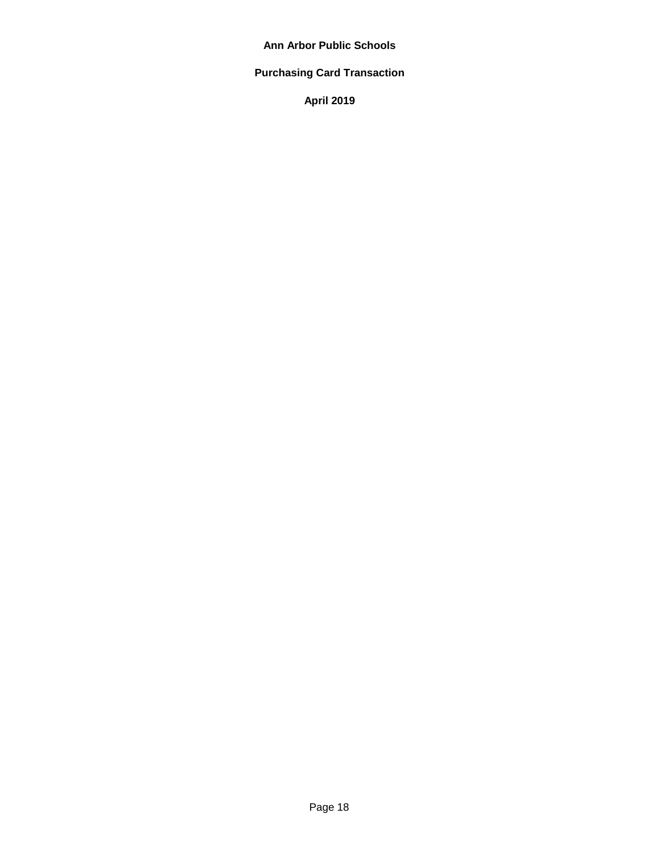# **Purchasing Card Transaction**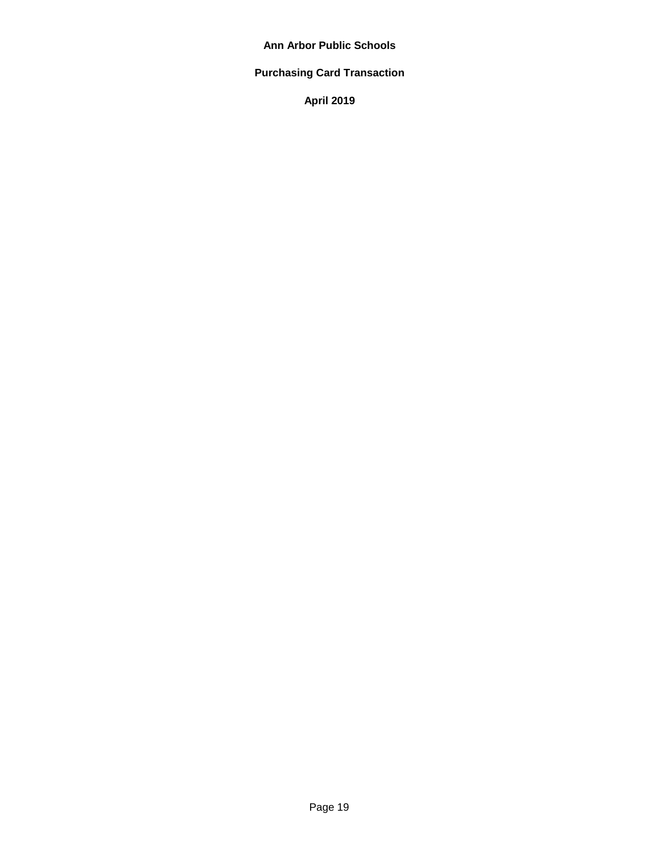# **Purchasing Card Transaction**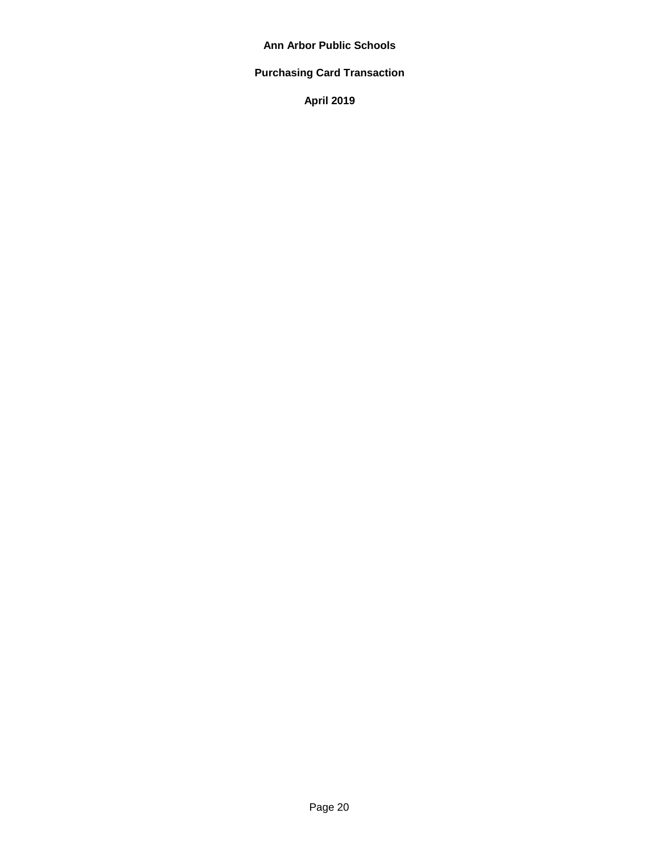# **Purchasing Card Transaction**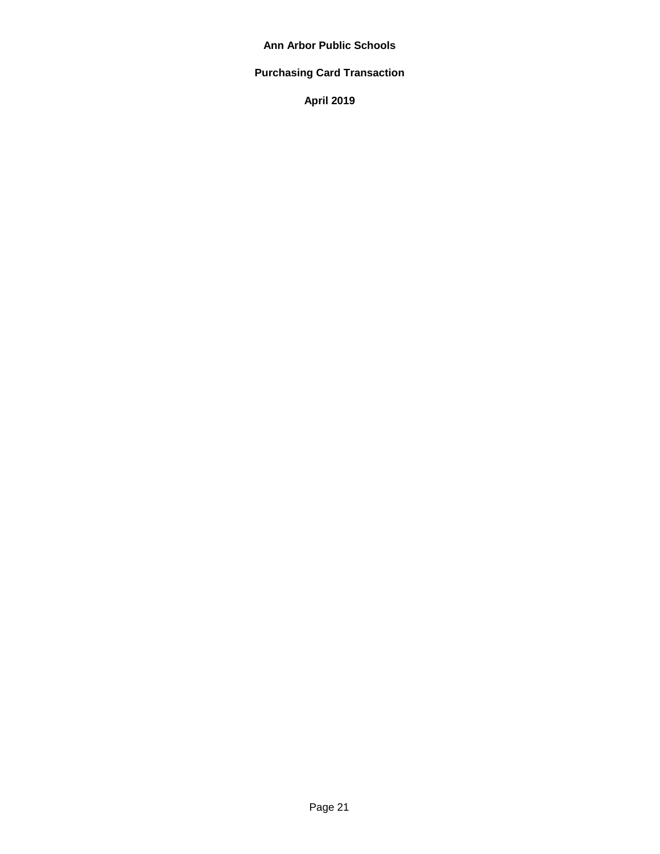# **Purchasing Card Transaction**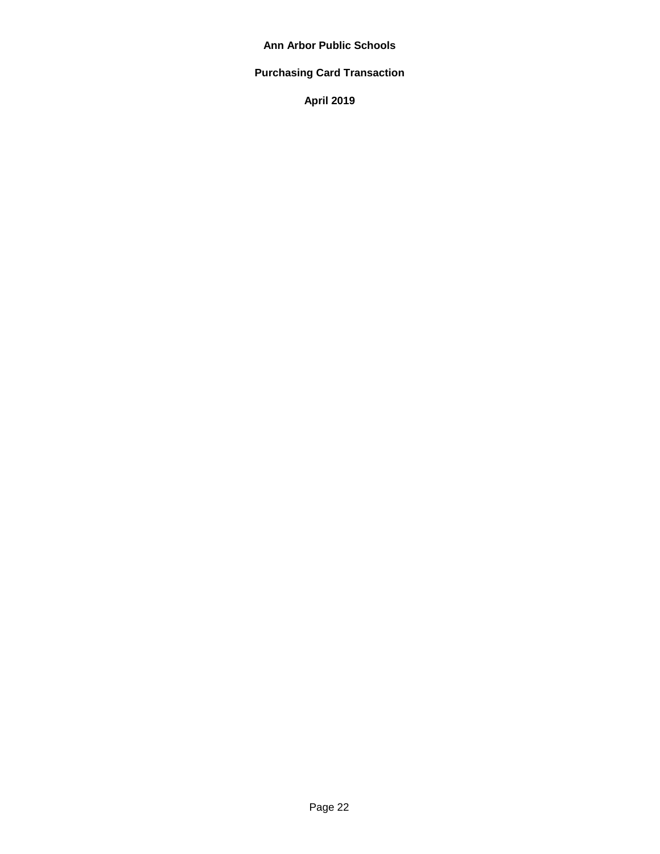# **Purchasing Card Transaction**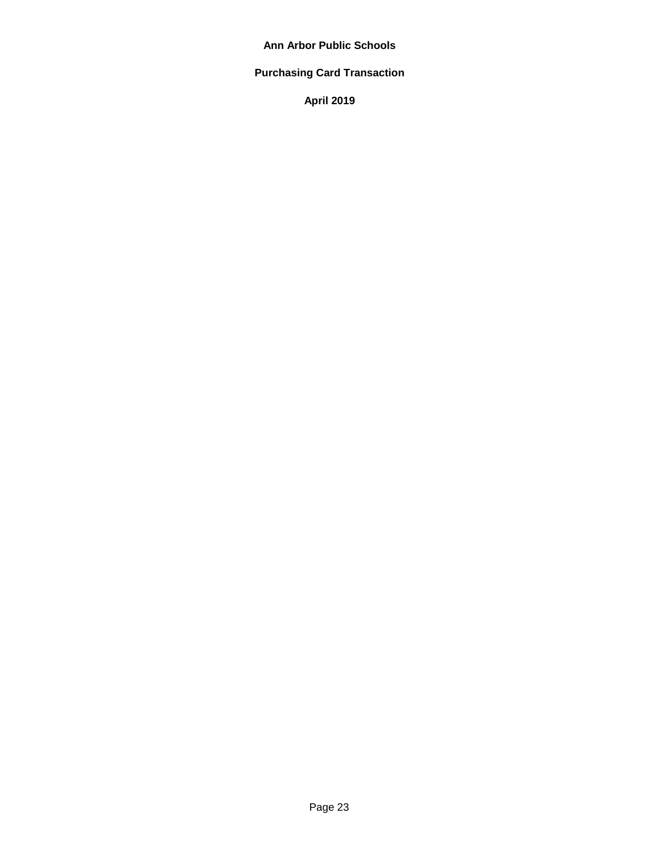# **Purchasing Card Transaction**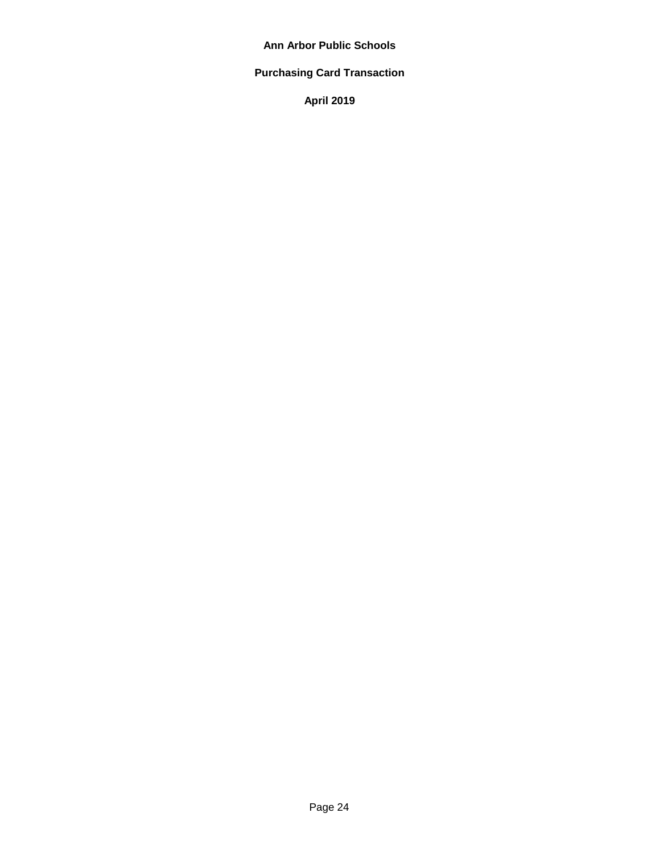# **Purchasing Card Transaction**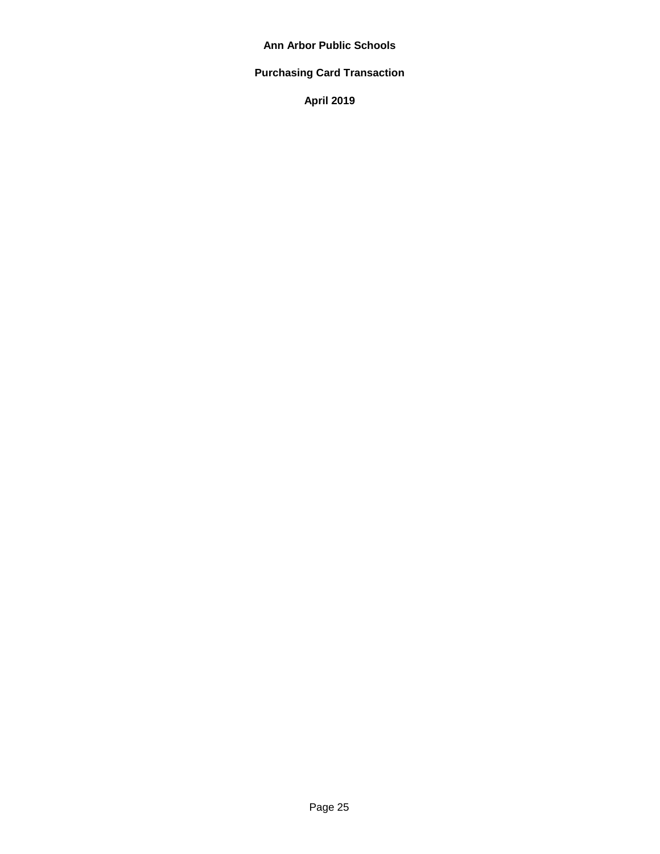# **Purchasing Card Transaction**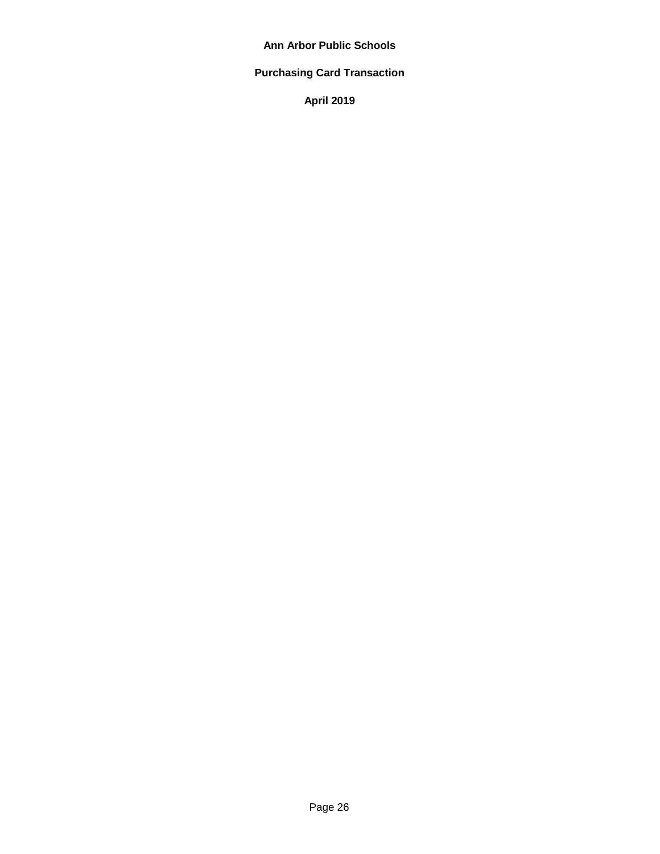# **Purchasing Card Transaction**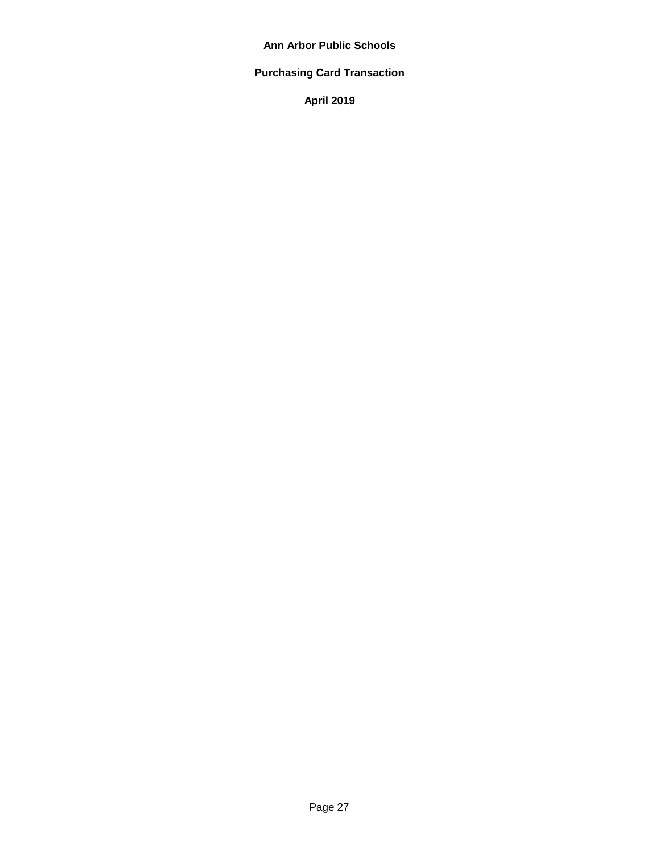# **Purchasing Card Transaction**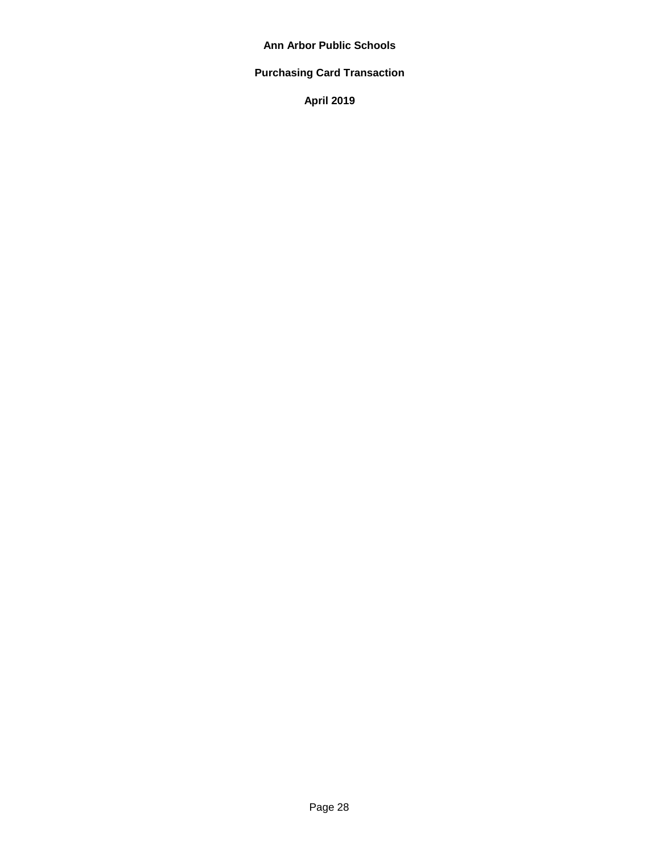# **Purchasing Card Transaction**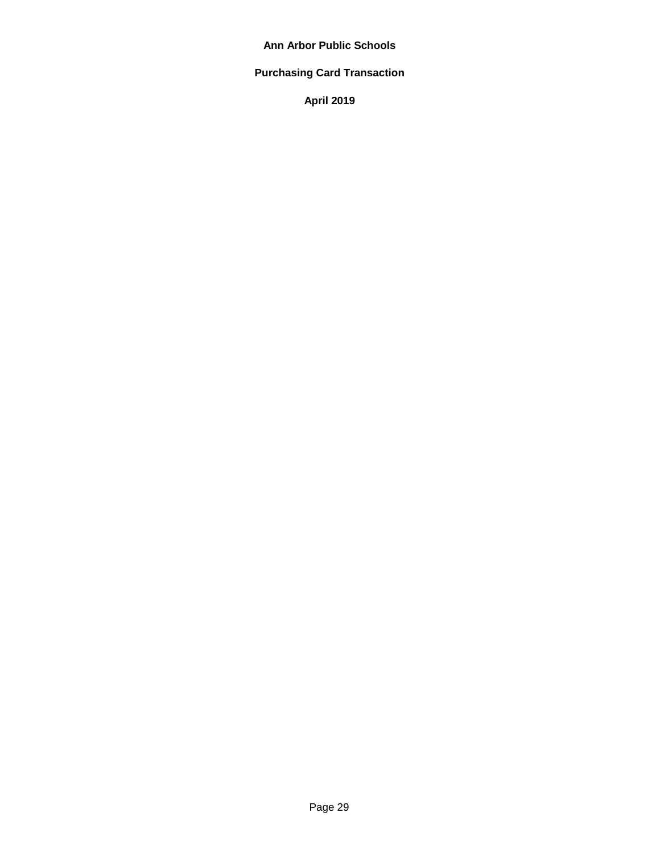# **Purchasing Card Transaction**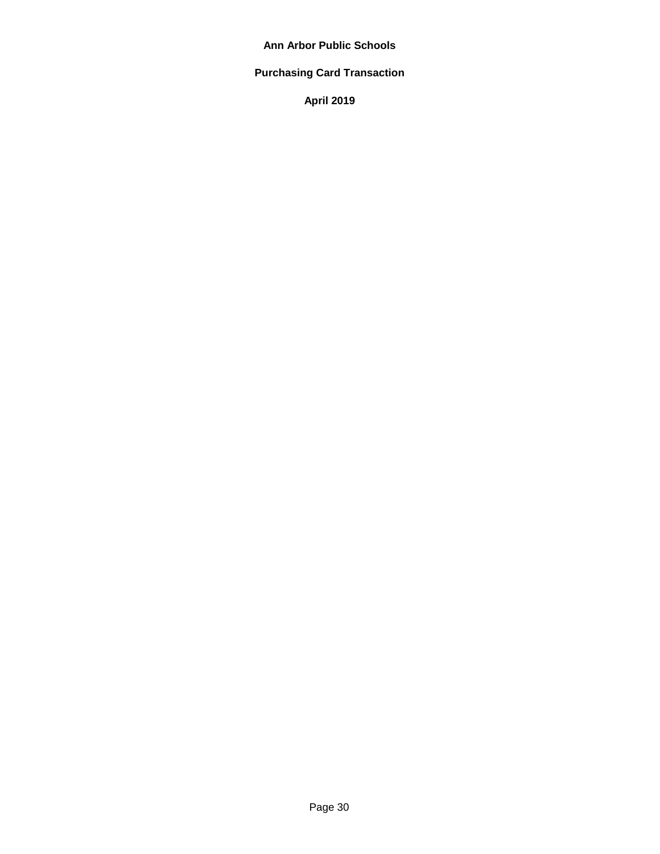# **Purchasing Card Transaction**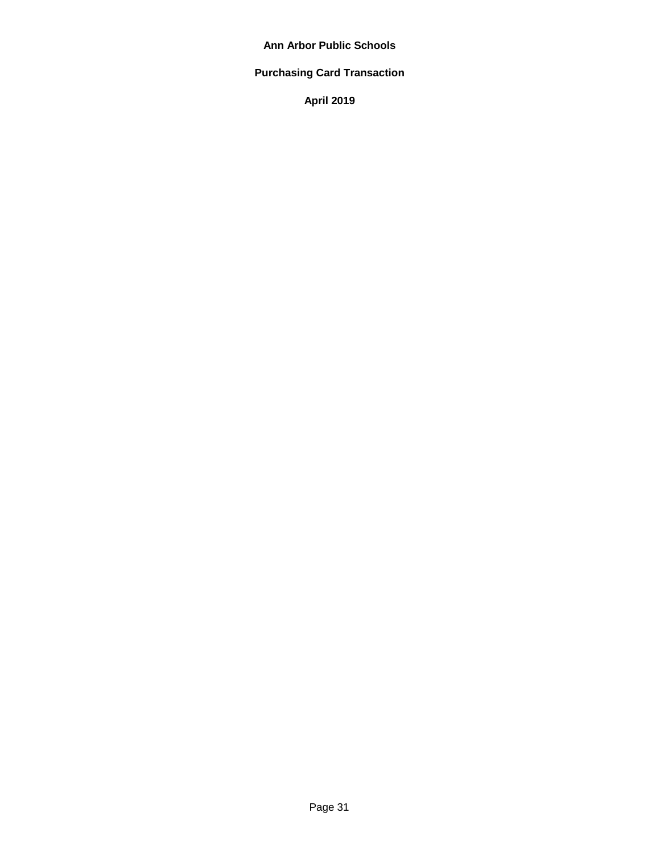# **Purchasing Card Transaction**